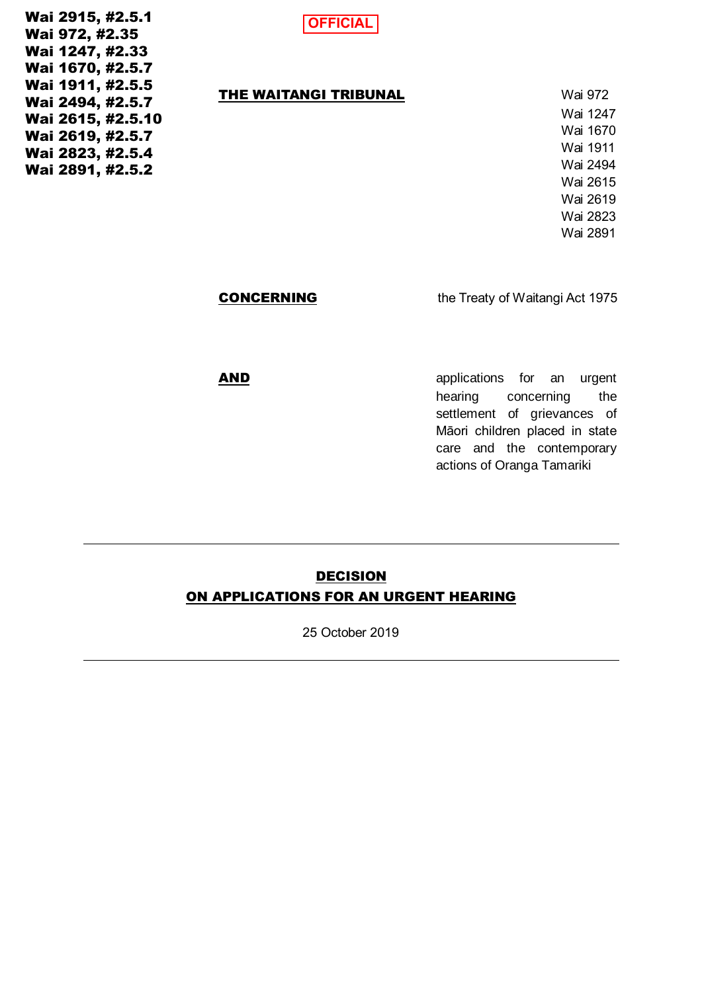Wai 2915, #2.5.1 Wai 972, #2.35 Wai 1247, #2.33 Wai 1670, #2.5.7 Wai 1911, #2.5.5 Wai 2494, #2.5.7 Wai 2615, #2.5.10 Wai 2619, #2.5.7 Wai 2823, #2.5.4 Wai 2891, #2.5.2

**OFFICIAL**

#### THE WAITANGI TRIBUNAL Wai 972

Wai 1247 Wai 1670 Wai 1911 Wai 2494 Wai 2615 Wai 2619 Wai 2823 Wai 2891

**CONCERNING** the Treaty of Waitangi Act 1975

AND **AND AND AND AND AND AND AND AND AND AND AND AND AND AND AND AND AND AND AND AND AND AND AND AND AND AND AND AND AND AND AND AND AND AND AND AND A** hearing concerning the settlement of grievances of Māori children placed in state care and the contemporary actions of Oranga Tamariki

# **DECISION** ON APPLICATIONS FOR AN URGENT HEARING

25 October 2019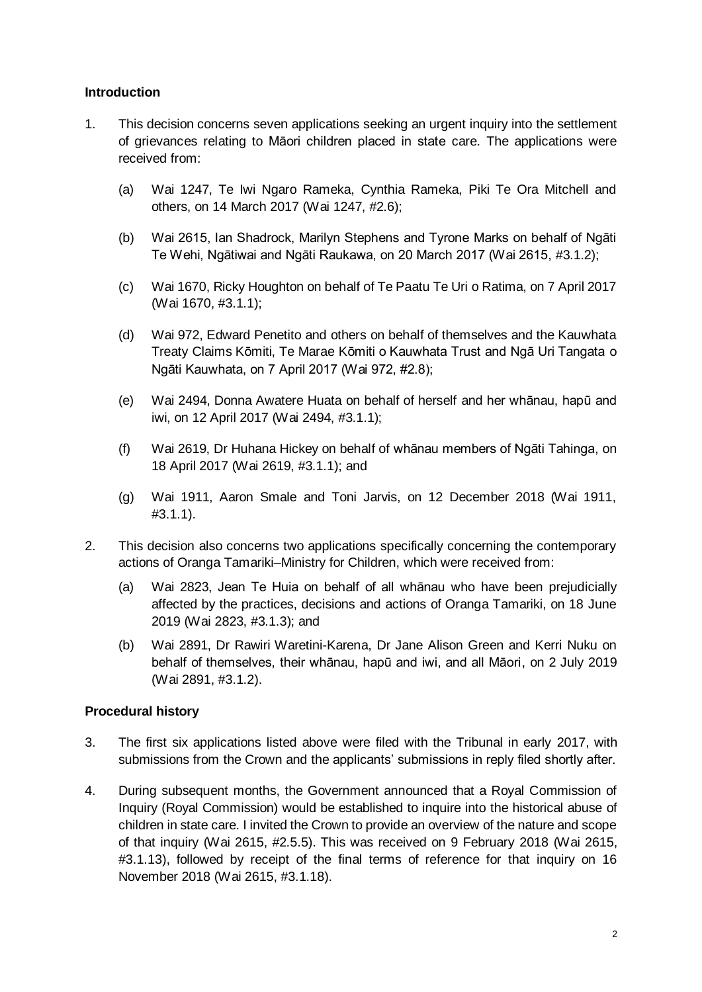## **Introduction**

- 1. This decision concerns seven applications seeking an urgent inquiry into the settlement of grievances relating to Māori children placed in state care. The applications were received from:
	- (a) Wai 1247, Te Iwi Ngaro Rameka, Cynthia Rameka, Piki Te Ora Mitchell and others, on 14 March 2017 (Wai 1247, #2.6);
	- (b) Wai 2615, Ian Shadrock, Marilyn Stephens and Tyrone Marks on behalf of Ngāti Te Wehi, Ngātiwai and Ngāti Raukawa, on 20 March 2017 (Wai 2615, #3.1.2);
	- (c) Wai 1670, Ricky Houghton on behalf of Te Paatu Te Uri o Ratima, on 7 April 2017 (Wai 1670, #3.1.1);
	- (d) Wai 972, Edward Penetito and others on behalf of themselves and the Kauwhata Treaty Claims Kōmiti, Te Marae Kōmiti o Kauwhata Trust and Ngā Uri Tangata o Ngāti Kauwhata, on 7 April 2017 (Wai 972, #2.8);
	- (e) Wai 2494, Donna Awatere Huata on behalf of herself and her whānau, hapū and iwi, on 12 April 2017 (Wai 2494, #3.1.1);
	- (f) Wai 2619, Dr Huhana Hickey on behalf of whānau members of Ngāti Tahinga, on 18 April 2017 (Wai 2619, #3.1.1); and
	- (g) Wai 1911, Aaron Smale and Toni Jarvis, on 12 December 2018 (Wai 1911, #3.1.1).
- 2. This decision also concerns two applications specifically concerning the contemporary actions of Oranga Tamariki–Ministry for Children, which were received from:
	- (a) Wai 2823, Jean Te Huia on behalf of all whānau who have been prejudicially affected by the practices, decisions and actions of Oranga Tamariki, on 18 June 2019 (Wai 2823, #3.1.3); and
	- (b) Wai 2891, Dr Rawiri Waretini-Karena, Dr Jane Alison Green and Kerri Nuku on behalf of themselves, their whānau, hapū and iwi, and all Māori, on 2 July 2019 (Wai 2891, #3.1.2).

## **Procedural history**

- 3. The first six applications listed above were filed with the Tribunal in early 2017, with submissions from the Crown and the applicants' submissions in reply filed shortly after.
- 4. During subsequent months, the Government announced that a Royal Commission of Inquiry (Royal Commission) would be established to inquire into the historical abuse of children in state care. I invited the Crown to provide an overview of the nature and scope of that inquiry (Wai 2615, #2.5.5). This was received on 9 February 2018 (Wai 2615, #3.1.13), followed by receipt of the final terms of reference for that inquiry on 16 November 2018 (Wai 2615, #3.1.18).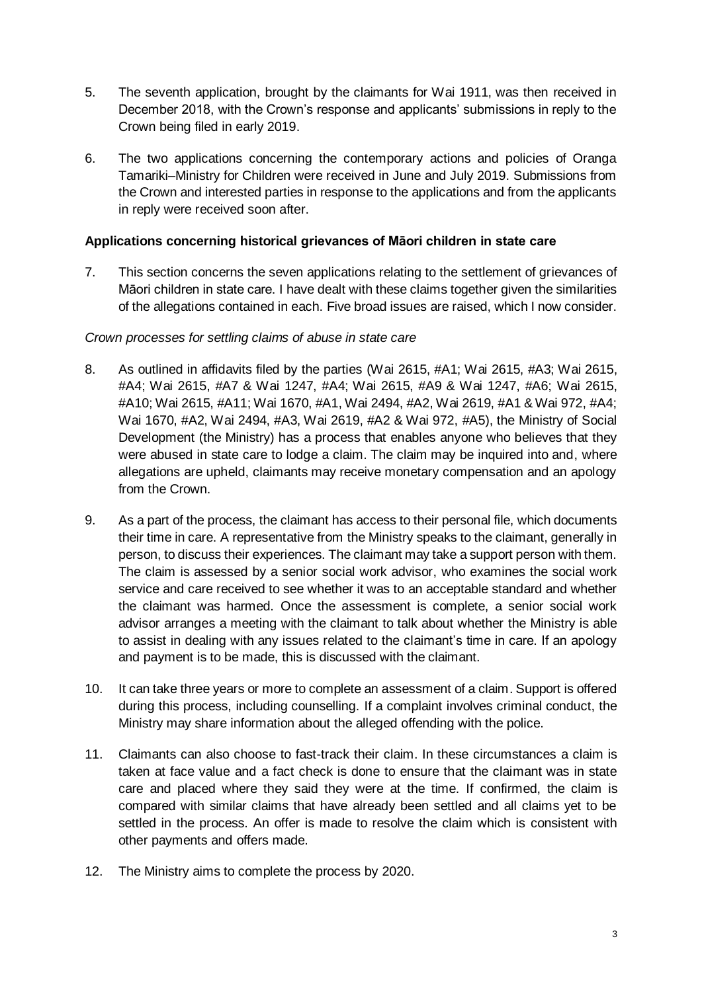- 5. The seventh application, brought by the claimants for Wai 1911, was then received in December 2018, with the Crown's response and applicants' submissions in reply to the Crown being filed in early 2019.
- 6. The two applications concerning the contemporary actions and policies of Oranga Tamariki–Ministry for Children were received in June and July 2019. Submissions from the Crown and interested parties in response to the applications and from the applicants in reply were received soon after.

## **Applications concerning historical grievances of Māori children in state care**

7. This section concerns the seven applications relating to the settlement of grievances of Māori children in state care. I have dealt with these claims together given the similarities of the allegations contained in each. Five broad issues are raised, which I now consider.

## *Crown processes for settling claims of abuse in state care*

- 8. As outlined in affidavits filed by the parties (Wai 2615, #A1; Wai 2615, #A3; Wai 2615, #A4; Wai 2615, #A7 & Wai 1247, #A4; Wai 2615, #A9 & Wai 1247, #A6; Wai 2615, #A10; Wai 2615, #A11; Wai 1670, #A1, Wai 2494, #A2, Wai 2619, #A1 & Wai 972, #A4; Wai 1670, #A2, Wai 2494, #A3, Wai 2619, #A2 & Wai 972, #A5), the Ministry of Social Development (the Ministry) has a process that enables anyone who believes that they were abused in state care to lodge a claim. The claim may be inquired into and, where allegations are upheld, claimants may receive monetary compensation and an apology from the Crown.
- 9. As a part of the process, the claimant has access to their personal file, which documents their time in care. A representative from the Ministry speaks to the claimant, generally in person, to discuss their experiences. The claimant may take a support person with them. The claim is assessed by a senior social work advisor, who examines the social work service and care received to see whether it was to an acceptable standard and whether the claimant was harmed. Once the assessment is complete, a senior social work advisor arranges a meeting with the claimant to talk about whether the Ministry is able to assist in dealing with any issues related to the claimant's time in care. If an apology and payment is to be made, this is discussed with the claimant.
- 10. It can take three years or more to complete an assessment of a claim. Support is offered during this process, including counselling. If a complaint involves criminal conduct, the Ministry may share information about the alleged offending with the police.
- 11. Claimants can also choose to fast-track their claim. In these circumstances a claim is taken at face value and a fact check is done to ensure that the claimant was in state care and placed where they said they were at the time. If confirmed, the claim is compared with similar claims that have already been settled and all claims yet to be settled in the process. An offer is made to resolve the claim which is consistent with other payments and offers made.
- 12. The Ministry aims to complete the process by 2020.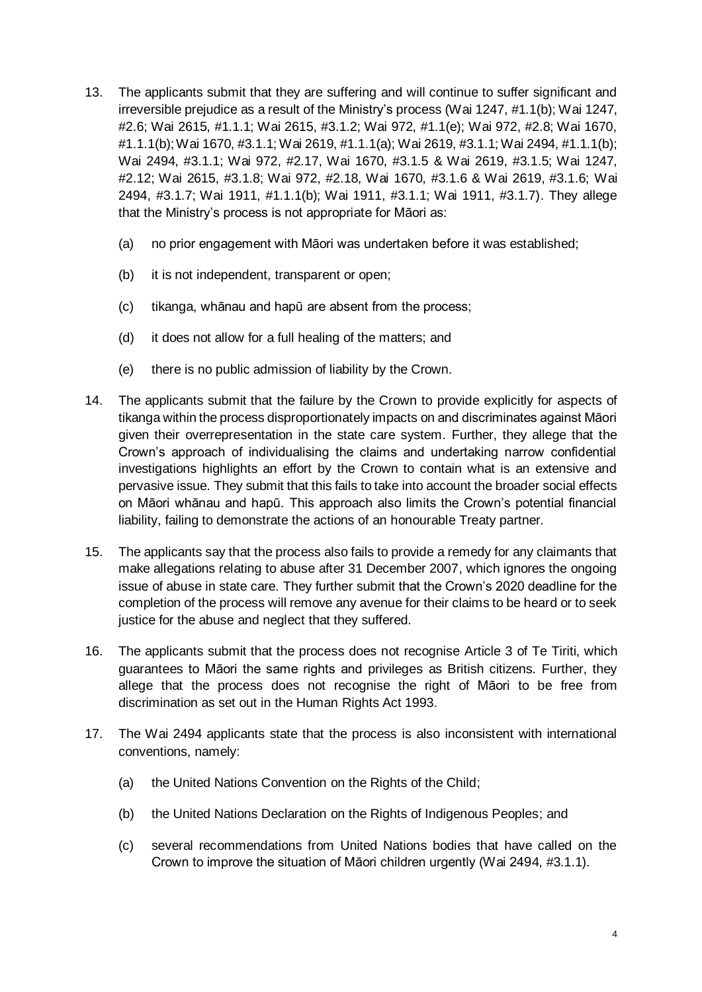- 13. The applicants submit that they are suffering and will continue to suffer significant and irreversible prejudice as a result of the Ministry's process (Wai 1247, #1.1(b); Wai 1247, #2.6; Wai 2615, #1.1.1; Wai 2615, #3.1.2; Wai 972, #1.1(e); Wai 972, #2.8; Wai 1670, #1.1.1(b); Wai 1670, #3.1.1; Wai 2619, #1.1.1(a); Wai 2619, #3.1.1; Wai 2494, #1.1.1(b); Wai 2494, #3.1.1; Wai 972, #2.17, Wai 1670, #3.1.5 & Wai 2619, #3.1.5; Wai 1247, #2.12; Wai 2615, #3.1.8; Wai 972, #2.18, Wai 1670, #3.1.6 & Wai 2619, #3.1.6; Wai 2494, #3.1.7; Wai 1911, #1.1.1(b); Wai 1911, #3.1.1; Wai 1911, #3.1.7). They allege that the Ministry's process is not appropriate for Māori as:
	- (a) no prior engagement with Māori was undertaken before it was established;
	- (b) it is not independent, transparent or open;
	- (c) tikanga, whānau and hapū are absent from the process;
	- (d) it does not allow for a full healing of the matters; and
	- (e) there is no public admission of liability by the Crown.
- 14. The applicants submit that the failure by the Crown to provide explicitly for aspects of tikanga within the process disproportionately impacts on and discriminates against Māori given their overrepresentation in the state care system. Further, they allege that the Crown's approach of individualising the claims and undertaking narrow confidential investigations highlights an effort by the Crown to contain what is an extensive and pervasive issue. They submit that this fails to take into account the broader social effects on Māori whānau and hapū. This approach also limits the Crown's potential financial liability, failing to demonstrate the actions of an honourable Treaty partner.
- 15. The applicants say that the process also fails to provide a remedy for any claimants that make allegations relating to abuse after 31 December 2007, which ignores the ongoing issue of abuse in state care. They further submit that the Crown's 2020 deadline for the completion of the process will remove any avenue for their claims to be heard or to seek justice for the abuse and neglect that they suffered.
- 16. The applicants submit that the process does not recognise Article 3 of Te Tiriti, which guarantees to Māori the same rights and privileges as British citizens. Further, they allege that the process does not recognise the right of Māori to be free from discrimination as set out in the Human Rights Act 1993.
- 17. The Wai 2494 applicants state that the process is also inconsistent with international conventions, namely:
	- (a) the United Nations Convention on the Rights of the Child;
	- (b) the United Nations Declaration on the Rights of Indigenous Peoples; and
	- (c) several recommendations from United Nations bodies that have called on the Crown to improve the situation of Māori children urgently (Wai 2494, #3.1.1).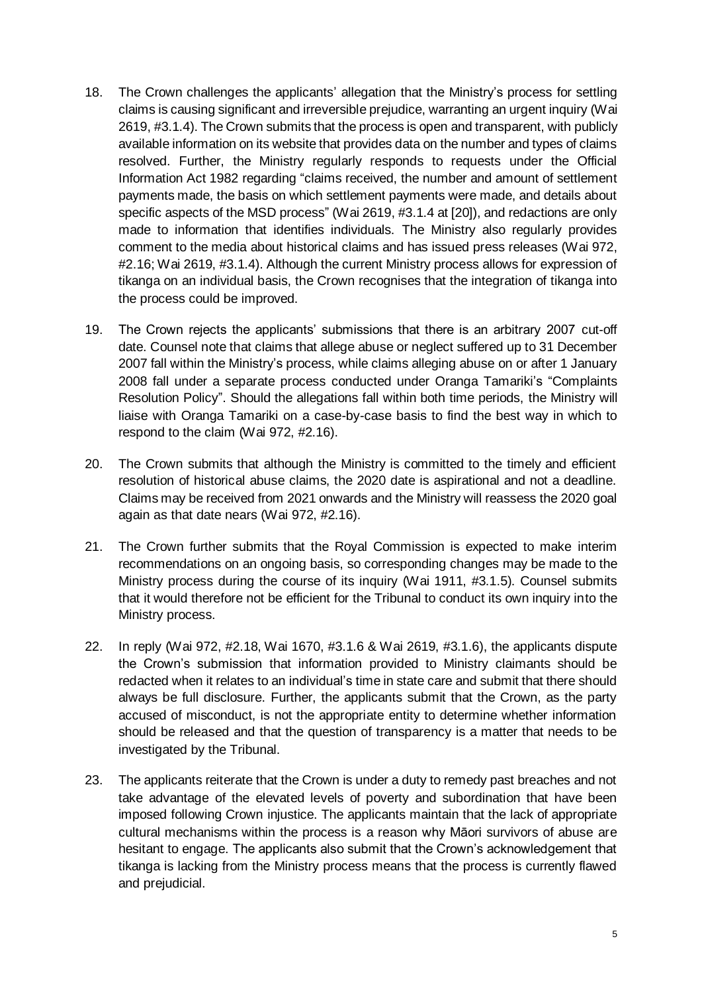- 18. The Crown challenges the applicants' allegation that the Ministry's process for settling claims is causing significant and irreversible prejudice, warranting an urgent inquiry (Wai 2619, #3.1.4). The Crown submits that the process is open and transparent, with publicly available information on its website that provides data on the number and types of claims resolved. Further, the Ministry regularly responds to requests under the Official Information Act 1982 regarding "claims received, the number and amount of settlement payments made, the basis on which settlement payments were made, and details about specific aspects of the MSD process" (Wai 2619, #3.1.4 at [20]), and redactions are only made to information that identifies individuals. The Ministry also regularly provides comment to the media about historical claims and has issued press releases (Wai 972, #2.16; Wai 2619, #3.1.4). Although the current Ministry process allows for expression of tikanga on an individual basis, the Crown recognises that the integration of tikanga into the process could be improved.
- 19. The Crown rejects the applicants' submissions that there is an arbitrary 2007 cut-off date. Counsel note that claims that allege abuse or neglect suffered up to 31 December 2007 fall within the Ministry's process, while claims alleging abuse on or after 1 January 2008 fall under a separate process conducted under Oranga Tamariki's "Complaints Resolution Policy". Should the allegations fall within both time periods, the Ministry will liaise with Oranga Tamariki on a case-by-case basis to find the best way in which to respond to the claim (Wai 972, #2.16).
- 20. The Crown submits that although the Ministry is committed to the timely and efficient resolution of historical abuse claims, the 2020 date is aspirational and not a deadline. Claims may be received from 2021 onwards and the Ministry will reassess the 2020 goal again as that date nears (Wai 972, #2.16).
- 21. The Crown further submits that the Royal Commission is expected to make interim recommendations on an ongoing basis, so corresponding changes may be made to the Ministry process during the course of its inquiry (Wai 1911, #3.1.5). Counsel submits that it would therefore not be efficient for the Tribunal to conduct its own inquiry into the Ministry process.
- 22. In reply (Wai 972, #2.18, Wai 1670, #3.1.6 & Wai 2619, #3.1.6), the applicants dispute the Crown's submission that information provided to Ministry claimants should be redacted when it relates to an individual's time in state care and submit that there should always be full disclosure. Further, the applicants submit that the Crown, as the party accused of misconduct, is not the appropriate entity to determine whether information should be released and that the question of transparency is a matter that needs to be investigated by the Tribunal.
- 23. The applicants reiterate that the Crown is under a duty to remedy past breaches and not take advantage of the elevated levels of poverty and subordination that have been imposed following Crown injustice. The applicants maintain that the lack of appropriate cultural mechanisms within the process is a reason why Māori survivors of abuse are hesitant to engage. The applicants also submit that the Crown's acknowledgement that tikanga is lacking from the Ministry process means that the process is currently flawed and prejudicial.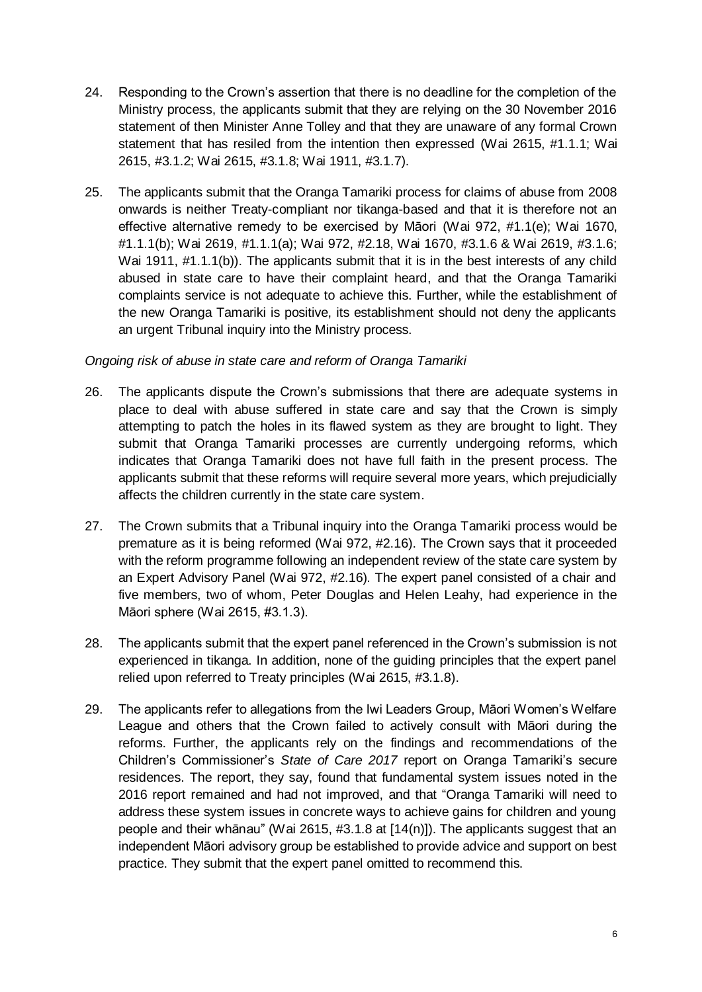- 24. Responding to the Crown's assertion that there is no deadline for the completion of the Ministry process, the applicants submit that they are relying on the 30 November 2016 statement of then Minister Anne Tolley and that they are unaware of any formal Crown statement that has resiled from the intention then expressed (Wai 2615, #1.1.1; Wai 2615, #3.1.2; Wai 2615, #3.1.8; Wai 1911, #3.1.7).
- 25. The applicants submit that the Oranga Tamariki process for claims of abuse from 2008 onwards is neither Treaty-compliant nor tikanga-based and that it is therefore not an effective alternative remedy to be exercised by Māori (Wai 972, #1.1(e); Wai 1670, #1.1.1(b); Wai 2619, #1.1.1(a); Wai 972, #2.18, Wai 1670, #3.1.6 & Wai 2619, #3.1.6; Wai 1911, #1.1.1(b)). The applicants submit that it is in the best interests of any child abused in state care to have their complaint heard, and that the Oranga Tamariki complaints service is not adequate to achieve this. Further, while the establishment of the new Oranga Tamariki is positive, its establishment should not deny the applicants an urgent Tribunal inquiry into the Ministry process.

## *Ongoing risk of abuse in state care and reform of Oranga Tamariki*

- 26. The applicants dispute the Crown's submissions that there are adequate systems in place to deal with abuse suffered in state care and say that the Crown is simply attempting to patch the holes in its flawed system as they are brought to light. They submit that Oranga Tamariki processes are currently undergoing reforms, which indicates that Oranga Tamariki does not have full faith in the present process. The applicants submit that these reforms will require several more years, which prejudicially affects the children currently in the state care system.
- 27. The Crown submits that a Tribunal inquiry into the Oranga Tamariki process would be premature as it is being reformed (Wai 972, #2.16). The Crown says that it proceeded with the reform programme following an independent review of the state care system by an Expert Advisory Panel (Wai 972, #2.16). The expert panel consisted of a chair and five members, two of whom, Peter Douglas and Helen Leahy, had experience in the Māori sphere (Wai 2615, #3.1.3).
- 28. The applicants submit that the expert panel referenced in the Crown's submission is not experienced in tikanga. In addition, none of the guiding principles that the expert panel relied upon referred to Treaty principles (Wai 2615, #3.1.8).
- 29. The applicants refer to allegations from the Iwi Leaders Group, Māori Women's Welfare League and others that the Crown failed to actively consult with Māori during the reforms. Further, the applicants rely on the findings and recommendations of the Children's Commissioner's *State of Care 2017* report on Oranga Tamariki's secure residences. The report, they say, found that fundamental system issues noted in the 2016 report remained and had not improved, and that "Oranga Tamariki will need to address these system issues in concrete ways to achieve gains for children and young people and their whānau" (Wai 2615, #3.1.8 at [14(n)]). The applicants suggest that an independent Māori advisory group be established to provide advice and support on best practice. They submit that the expert panel omitted to recommend this.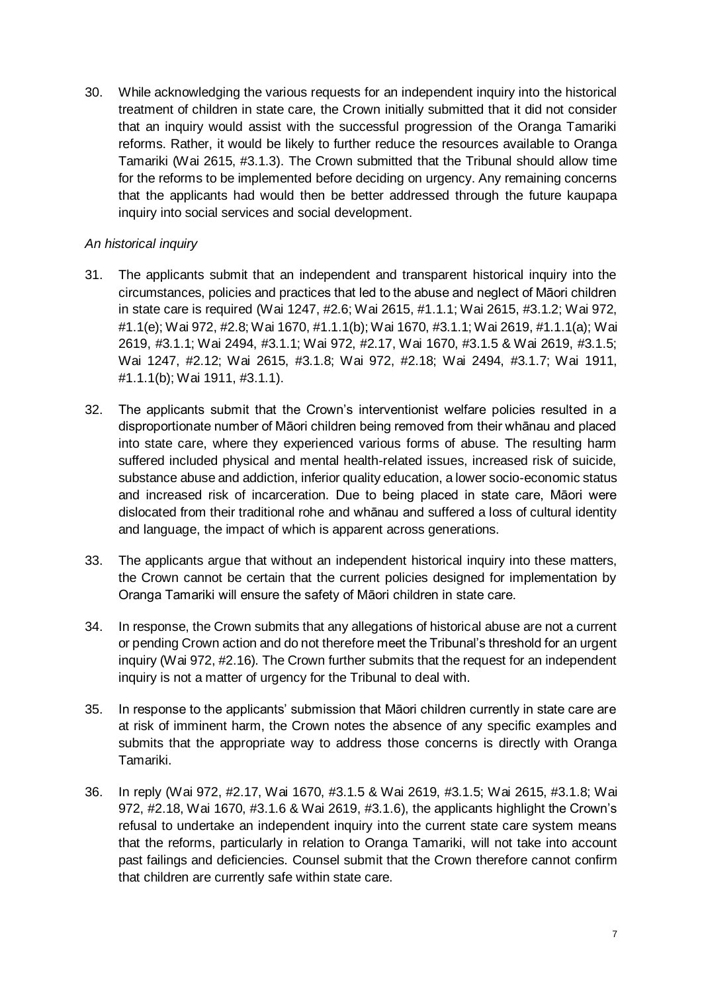30. While acknowledging the various requests for an independent inquiry into the historical treatment of children in state care, the Crown initially submitted that it did not consider that an inquiry would assist with the successful progression of the Oranga Tamariki reforms. Rather, it would be likely to further reduce the resources available to Oranga Tamariki (Wai 2615, #3.1.3). The Crown submitted that the Tribunal should allow time for the reforms to be implemented before deciding on urgency. Any remaining concerns that the applicants had would then be better addressed through the future kaupapa inquiry into social services and social development.

## *An historical inquiry*

- 31. The applicants submit that an independent and transparent historical inquiry into the circumstances, policies and practices that led to the abuse and neglect of Māori children in state care is required (Wai 1247, #2.6; Wai 2615, #1.1.1; Wai 2615, #3.1.2; Wai 972, #1.1(e); Wai 972, #2.8; Wai 1670, #1.1.1(b); Wai 1670, #3.1.1; Wai 2619, #1.1.1(a); Wai 2619, #3.1.1; Wai 2494, #3.1.1; Wai 972, #2.17, Wai 1670, #3.1.5 & Wai 2619, #3.1.5; Wai 1247, #2.12; Wai 2615, #3.1.8; Wai 972, #2.18; Wai 2494, #3.1.7; Wai 1911, #1.1.1(b); Wai 1911, #3.1.1).
- 32. The applicants submit that the Crown's interventionist welfare policies resulted in a disproportionate number of Māori children being removed from their whānau and placed into state care, where they experienced various forms of abuse. The resulting harm suffered included physical and mental health-related issues, increased risk of suicide, substance abuse and addiction, inferior quality education, a lower socio-economic status and increased risk of incarceration. Due to being placed in state care, Māori were dislocated from their traditional rohe and whānau and suffered a loss of cultural identity and language, the impact of which is apparent across generations.
- 33. The applicants argue that without an independent historical inquiry into these matters, the Crown cannot be certain that the current policies designed for implementation by Oranga Tamariki will ensure the safety of Māori children in state care.
- 34. In response, the Crown submits that any allegations of historical abuse are not a current or pending Crown action and do not therefore meet the Tribunal's threshold for an urgent inquiry (Wai 972, #2.16). The Crown further submits that the request for an independent inquiry is not a matter of urgency for the Tribunal to deal with.
- 35. In response to the applicants' submission that Māori children currently in state care are at risk of imminent harm, the Crown notes the absence of any specific examples and submits that the appropriate way to address those concerns is directly with Oranga Tamariki.
- 36. In reply (Wai 972, #2.17, Wai 1670, #3.1.5 & Wai 2619, #3.1.5; Wai 2615, #3.1.8; Wai 972, #2.18, Wai 1670, #3.1.6 & Wai 2619, #3.1.6), the applicants highlight the Crown's refusal to undertake an independent inquiry into the current state care system means that the reforms, particularly in relation to Oranga Tamariki, will not take into account past failings and deficiencies. Counsel submit that the Crown therefore cannot confirm that children are currently safe within state care.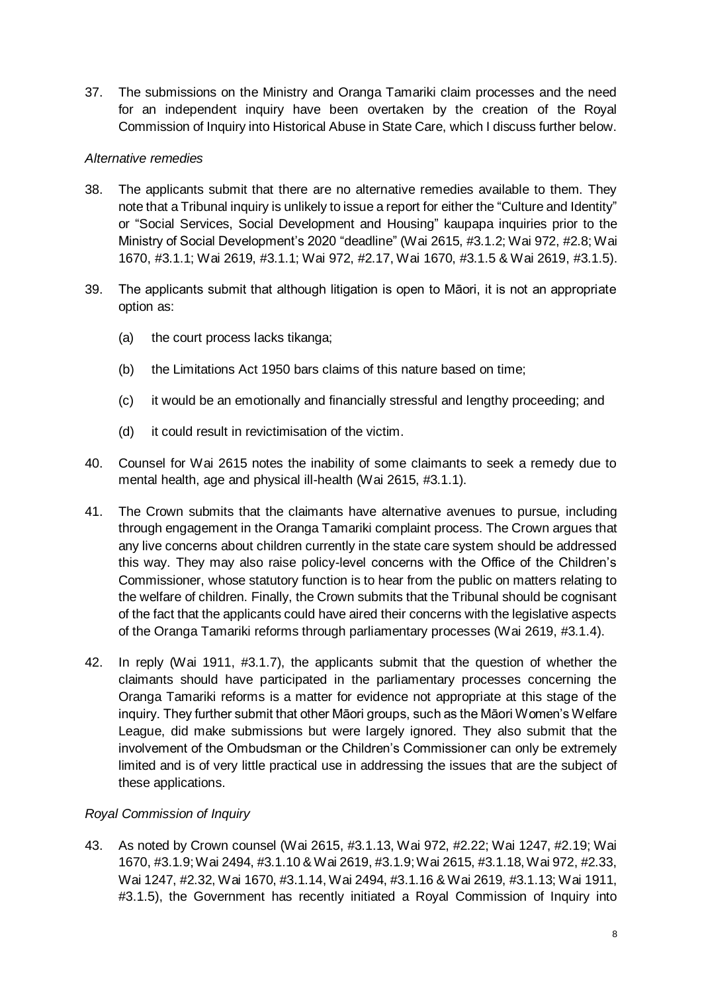37. The submissions on the Ministry and Oranga Tamariki claim processes and the need for an independent inquiry have been overtaken by the creation of the Royal Commission of Inquiry into Historical Abuse in State Care, which I discuss further below.

## *Alternative remedies*

- 38. The applicants submit that there are no alternative remedies available to them. They note that a Tribunal inquiry is unlikely to issue a report for either the "Culture and Identity" or "Social Services, Social Development and Housing" kaupapa inquiries prior to the Ministry of Social Development's 2020 "deadline" (Wai 2615, #3.1.2; Wai 972, #2.8; Wai 1670, #3.1.1; Wai 2619, #3.1.1; Wai 972, #2.17, Wai 1670, #3.1.5 & Wai 2619, #3.1.5).
- 39. The applicants submit that although litigation is open to Māori, it is not an appropriate option as:
	- (a) the court process lacks tikanga;
	- (b) the Limitations Act 1950 bars claims of this nature based on time;
	- (c) it would be an emotionally and financially stressful and lengthy proceeding; and
	- (d) it could result in revictimisation of the victim.
- 40. Counsel for Wai 2615 notes the inability of some claimants to seek a remedy due to mental health, age and physical ill-health (Wai 2615, #3.1.1).
- 41. The Crown submits that the claimants have alternative avenues to pursue, including through engagement in the Oranga Tamariki complaint process. The Crown argues that any live concerns about children currently in the state care system should be addressed this way. They may also raise policy-level concerns with the Office of the Children's Commissioner, whose statutory function is to hear from the public on matters relating to the welfare of children. Finally, the Crown submits that the Tribunal should be cognisant of the fact that the applicants could have aired their concerns with the legislative aspects of the Oranga Tamariki reforms through parliamentary processes (Wai 2619, #3.1.4).
- 42. In reply (Wai 1911, #3.1.7), the applicants submit that the question of whether the claimants should have participated in the parliamentary processes concerning the Oranga Tamariki reforms is a matter for evidence not appropriate at this stage of the inquiry. They further submit that other Māori groups, such as the Māori Women's Welfare League, did make submissions but were largely ignored. They also submit that the involvement of the Ombudsman or the Children's Commissioner can only be extremely limited and is of very little practical use in addressing the issues that are the subject of these applications.

## *Royal Commission of Inquiry*

43. As noted by Crown counsel (Wai 2615, #3.1.13, Wai 972, #2.22; Wai 1247, #2.19; Wai 1670, #3.1.9; Wai 2494, #3.1.10 & Wai 2619, #3.1.9; Wai 2615, #3.1.18, Wai 972, #2.33, Wai 1247, #2.32, Wai 1670, #3.1.14, Wai 2494, #3.1.16 & Wai 2619, #3.1.13; Wai 1911, #3.1.5), the Government has recently initiated a Royal Commission of Inquiry into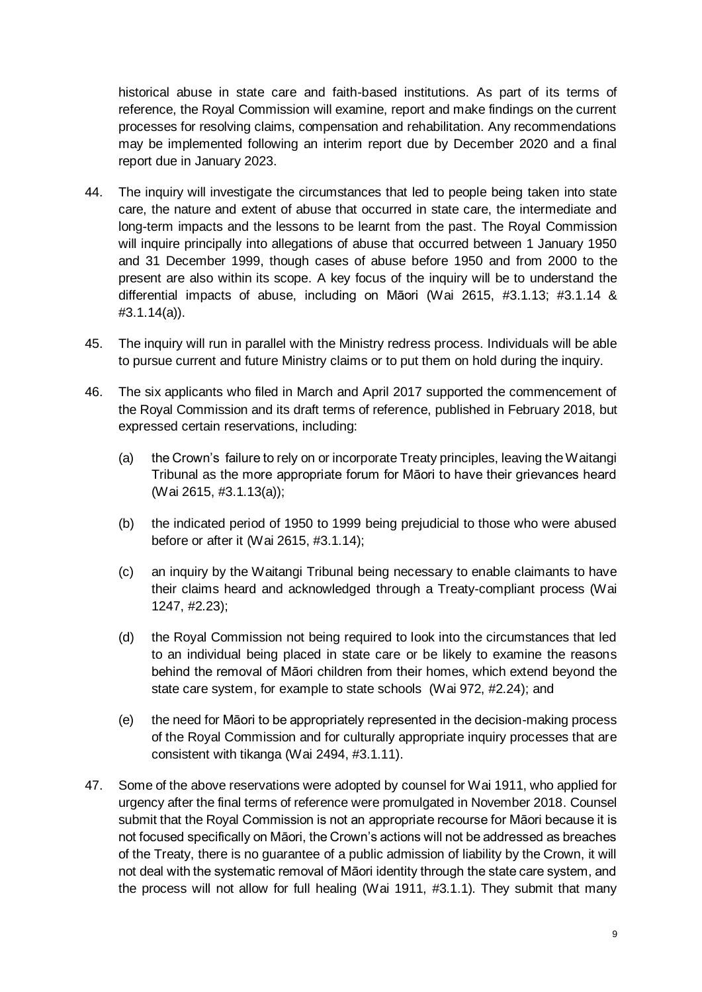historical abuse in state care and faith-based institutions. As part of its terms of reference, the Royal Commission will examine, report and make findings on the current processes for resolving claims, compensation and rehabilitation. Any recommendations may be implemented following an interim report due by December 2020 and a final report due in January 2023.

- 44. The inquiry will investigate the circumstances that led to people being taken into state care, the nature and extent of abuse that occurred in state care, the intermediate and long-term impacts and the lessons to be learnt from the past. The Royal Commission will inquire principally into allegations of abuse that occurred between 1 January 1950 and 31 December 1999, though cases of abuse before 1950 and from 2000 to the present are also within its scope. A key focus of the inquiry will be to understand the differential impacts of abuse, including on Māori (Wai 2615, #3.1.13; #3.1.14 & #3.1.14(a)).
- 45. The inquiry will run in parallel with the Ministry redress process. Individuals will be able to pursue current and future Ministry claims or to put them on hold during the inquiry.
- 46. The six applicants who filed in March and April 2017 supported the commencement of the Royal Commission and its draft terms of reference, published in February 2018, but expressed certain reservations, including:
	- (a) the Crown's failure to rely on or incorporate Treaty principles, leaving the Waitangi Tribunal as the more appropriate forum for Māori to have their grievances heard (Wai 2615, #3.1.13(a));
	- (b) the indicated period of 1950 to 1999 being prejudicial to those who were abused before or after it (Wai 2615, #3.1.14);
	- (c) an inquiry by the Waitangi Tribunal being necessary to enable claimants to have their claims heard and acknowledged through a Treaty-compliant process (Wai 1247, #2.23);
	- (d) the Royal Commission not being required to look into the circumstances that led to an individual being placed in state care or be likely to examine the reasons behind the removal of Māori children from their homes, which extend beyond the state care system, for example to state schools (Wai 972, #2.24); and
	- (e) the need for Māori to be appropriately represented in the decision-making process of the Royal Commission and for culturally appropriate inquiry processes that are consistent with tikanga (Wai 2494, #3.1.11).
- 47. Some of the above reservations were adopted by counsel for Wai 1911, who applied for urgency after the final terms of reference were promulgated in November 2018. Counsel submit that the Royal Commission is not an appropriate recourse for Māori because it is not focused specifically on Māori, the Crown's actions will not be addressed as breaches of the Treaty, there is no guarantee of a public admission of liability by the Crown, it will not deal with the systematic removal of Māori identity through the state care system, and the process will not allow for full healing (Wai 1911, #3.1.1). They submit that many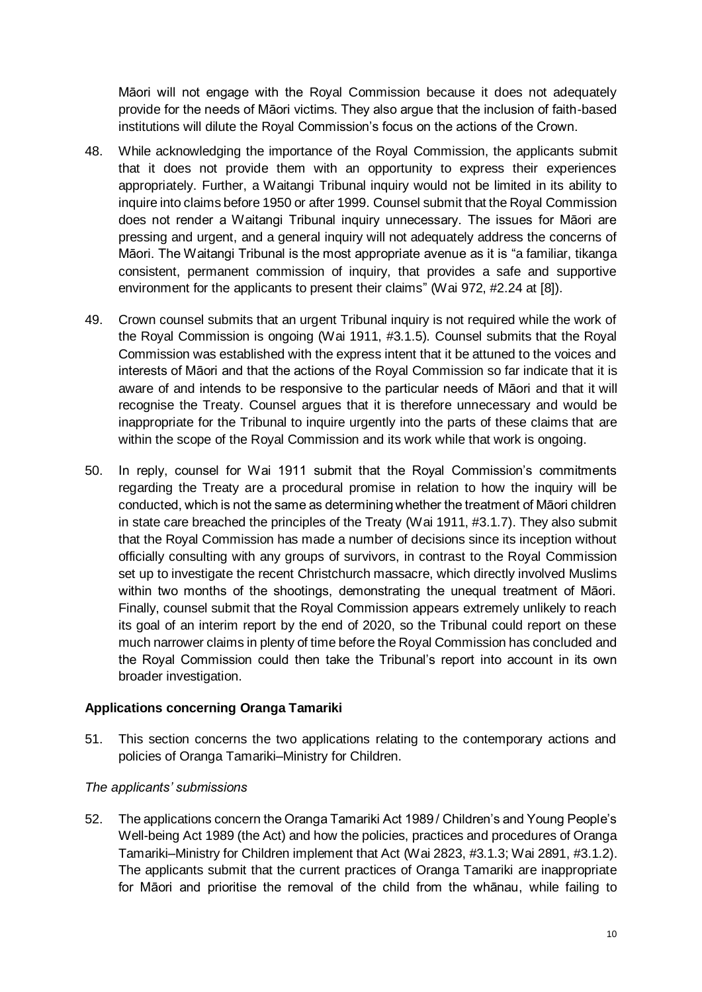Māori will not engage with the Royal Commission because it does not adequately provide for the needs of Māori victims. They also argue that the inclusion of faith-based institutions will dilute the Royal Commission's focus on the actions of the Crown.

- 48. While acknowledging the importance of the Royal Commission, the applicants submit that it does not provide them with an opportunity to express their experiences appropriately. Further, a Waitangi Tribunal inquiry would not be limited in its ability to inquire into claims before 1950 or after 1999. Counsel submit that the Royal Commission does not render a Waitangi Tribunal inquiry unnecessary. The issues for Māori are pressing and urgent, and a general inquiry will not adequately address the concerns of Māori. The Waitangi Tribunal is the most appropriate avenue as it is "a familiar, tikanga consistent, permanent commission of inquiry, that provides a safe and supportive environment for the applicants to present their claims" (Wai 972, #2.24 at [8]).
- 49. Crown counsel submits that an urgent Tribunal inquiry is not required while the work of the Royal Commission is ongoing (Wai 1911, #3.1.5). Counsel submits that the Royal Commission was established with the express intent that it be attuned to the voices and interests of Māori and that the actions of the Royal Commission so far indicate that it is aware of and intends to be responsive to the particular needs of Māori and that it will recognise the Treaty. Counsel argues that it is therefore unnecessary and would be inappropriate for the Tribunal to inquire urgently into the parts of these claims that are within the scope of the Royal Commission and its work while that work is ongoing.
- 50. In reply, counsel for Wai 1911 submit that the Royal Commission's commitments regarding the Treaty are a procedural promise in relation to how the inquiry will be conducted, which is not the same as determining whether the treatment of Māori children in state care breached the principles of the Treaty (Wai 1911, #3.1.7). They also submit that the Royal Commission has made a number of decisions since its inception without officially consulting with any groups of survivors, in contrast to the Royal Commission set up to investigate the recent Christchurch massacre, which directly involved Muslims within two months of the shootings, demonstrating the unequal treatment of Māori. Finally, counsel submit that the Royal Commission appears extremely unlikely to reach its goal of an interim report by the end of 2020, so the Tribunal could report on these much narrower claims in plenty of time before the Royal Commission has concluded and the Royal Commission could then take the Tribunal's report into account in its own broader investigation.

## **Applications concerning Oranga Tamariki**

51. This section concerns the two applications relating to the contemporary actions and policies of Oranga Tamariki–Ministry for Children.

## *The applicants' submissions*

52. The applications concern the Oranga Tamariki Act 1989 / Children's and Young People's Well-being Act 1989 (the Act) and how the policies, practices and procedures of Oranga Tamariki–Ministry for Children implement that Act (Wai 2823, #3.1.3; Wai 2891, #3.1.2). The applicants submit that the current practices of Oranga Tamariki are inappropriate for Māori and prioritise the removal of the child from the whānau, while failing to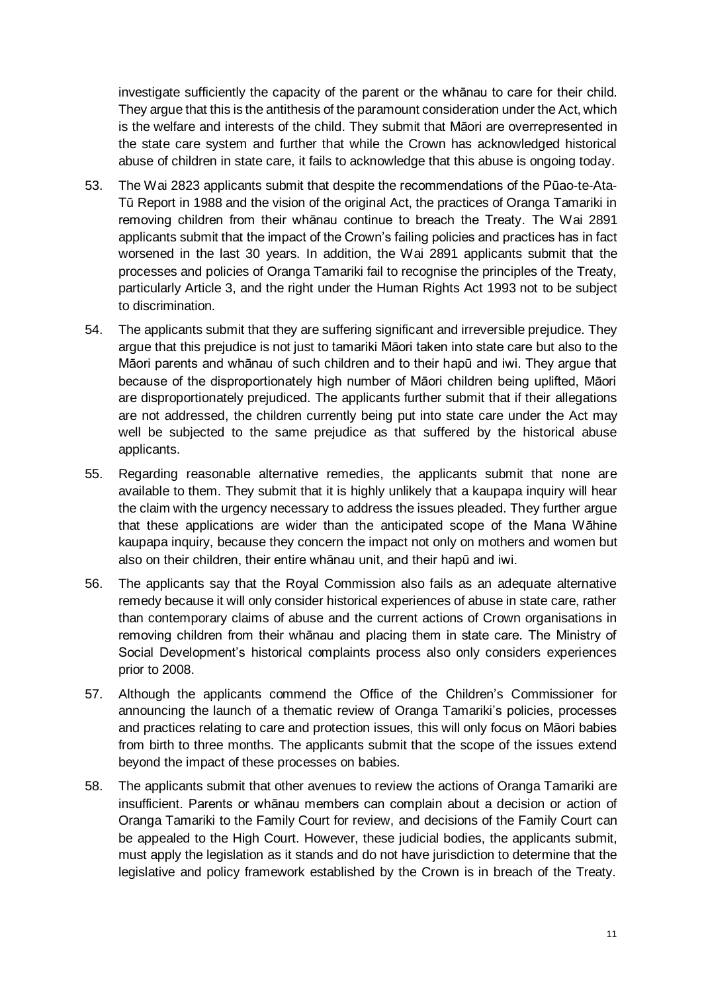investigate sufficiently the capacity of the parent or the whānau to care for their child. They argue that this is the antithesis of the paramount consideration under the Act, which is the welfare and interests of the child. They submit that Māori are overrepresented in the state care system and further that while the Crown has acknowledged historical abuse of children in state care, it fails to acknowledge that this abuse is ongoing today.

- 53. The Wai 2823 applicants submit that despite the recommendations of the Pūao-te-Ata-Tū Report in 1988 and the vision of the original Act, the practices of Oranga Tamariki in removing children from their whānau continue to breach the Treaty. The Wai 2891 applicants submit that the impact of the Crown's failing policies and practices has in fact worsened in the last 30 years. In addition, the Wai 2891 applicants submit that the processes and policies of Oranga Tamariki fail to recognise the principles of the Treaty, particularly Article 3, and the right under the Human Rights Act 1993 not to be subject to discrimination.
- 54. The applicants submit that they are suffering significant and irreversible prejudice. They argue that this prejudice is not just to tamariki Māori taken into state care but also to the Māori parents and whānau of such children and to their hapū and iwi. They argue that because of the disproportionately high number of Māori children being uplifted, Māori are disproportionately prejudiced. The applicants further submit that if their allegations are not addressed, the children currently being put into state care under the Act may well be subjected to the same prejudice as that suffered by the historical abuse applicants.
- 55. Regarding reasonable alternative remedies, the applicants submit that none are available to them. They submit that it is highly unlikely that a kaupapa inquiry will hear the claim with the urgency necessary to address the issues pleaded. They further argue that these applications are wider than the anticipated scope of the Mana Wāhine kaupapa inquiry, because they concern the impact not only on mothers and women but also on their children, their entire whānau unit, and their hapū and iwi.
- 56. The applicants say that the Royal Commission also fails as an adequate alternative remedy because it will only consider historical experiences of abuse in state care, rather than contemporary claims of abuse and the current actions of Crown organisations in removing children from their whānau and placing them in state care. The Ministry of Social Development's historical complaints process also only considers experiences prior to 2008.
- 57. Although the applicants commend the Office of the Children's Commissioner for announcing the launch of a thematic review of Oranga Tamariki's policies, processes and practices relating to care and protection issues, this will only focus on Māori babies from birth to three months. The applicants submit that the scope of the issues extend beyond the impact of these processes on babies.
- 58. The applicants submit that other avenues to review the actions of Oranga Tamariki are insufficient. Parents or whānau members can complain about a decision or action of Oranga Tamariki to the Family Court for review, and decisions of the Family Court can be appealed to the High Court. However, these judicial bodies, the applicants submit, must apply the legislation as it stands and do not have jurisdiction to determine that the legislative and policy framework established by the Crown is in breach of the Treaty.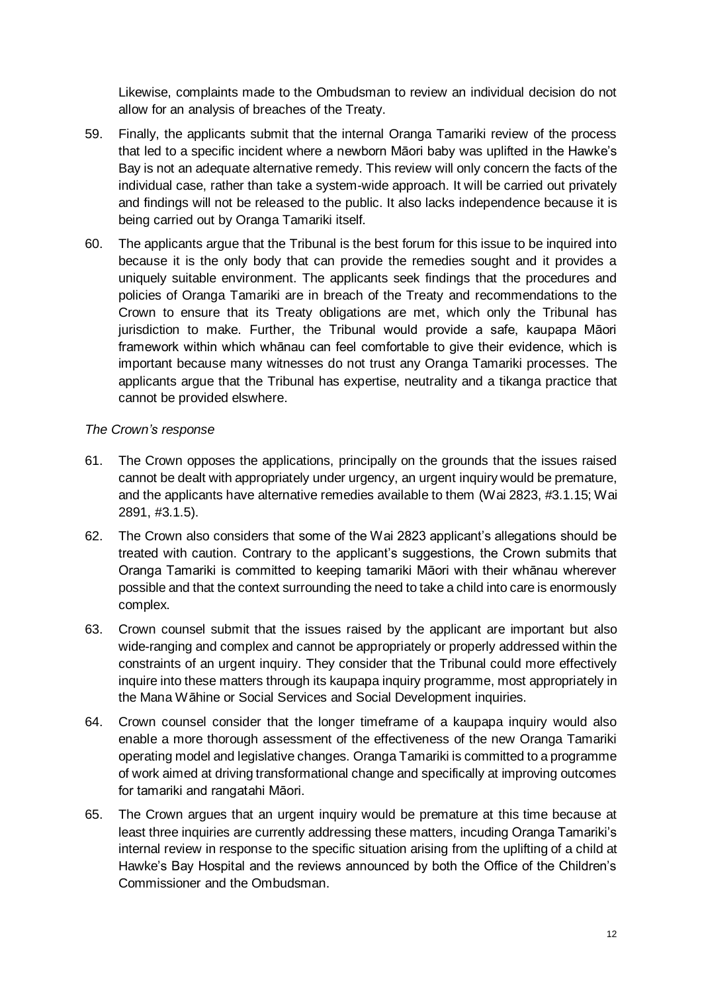Likewise, complaints made to the Ombudsman to review an individual decision do not allow for an analysis of breaches of the Treaty.

- 59. Finally, the applicants submit that the internal Oranga Tamariki review of the process that led to a specific incident where a newborn Māori baby was uplifted in the Hawke's Bay is not an adequate alternative remedy. This review will only concern the facts of the individual case, rather than take a system-wide approach. It will be carried out privately and findings will not be released to the public. It also lacks independence because it is being carried out by Oranga Tamariki itself.
- 60. The applicants argue that the Tribunal is the best forum for this issue to be inquired into because it is the only body that can provide the remedies sought and it provides a uniquely suitable environment. The applicants seek findings that the procedures and policies of Oranga Tamariki are in breach of the Treaty and recommendations to the Crown to ensure that its Treaty obligations are met, which only the Tribunal has jurisdiction to make. Further, the Tribunal would provide a safe, kaupapa Māori framework within which whānau can feel comfortable to give their evidence, which is important because many witnesses do not trust any Oranga Tamariki processes. The applicants argue that the Tribunal has expertise, neutrality and a tikanga practice that cannot be provided elswhere.

## *The Crown's response*

- 61. The Crown opposes the applications, principally on the grounds that the issues raised cannot be dealt with appropriately under urgency, an urgent inquiry would be premature, and the applicants have alternative remedies available to them (Wai 2823, #3.1.15; Wai 2891, #3.1.5).
- 62. The Crown also considers that some of the Wai 2823 applicant's allegations should be treated with caution. Contrary to the applicant's suggestions, the Crown submits that Oranga Tamariki is committed to keeping tamariki Māori with their whānau wherever possible and that the context surrounding the need to take a child into care is enormously complex.
- 63. Crown counsel submit that the issues raised by the applicant are important but also wide-ranging and complex and cannot be appropriately or properly addressed within the constraints of an urgent inquiry. They consider that the Tribunal could more effectively inquire into these matters through its kaupapa inquiry programme, most appropriately in the Mana Wāhine or Social Services and Social Development inquiries.
- 64. Crown counsel consider that the longer timeframe of a kaupapa inquiry would also enable a more thorough assessment of the effectiveness of the new Oranga Tamariki operating model and legislative changes. Oranga Tamariki is committed to a programme of work aimed at driving transformational change and specifically at improving outcomes for tamariki and rangatahi Māori.
- 65. The Crown argues that an urgent inquiry would be premature at this time because at least three inquiries are currently addressing these matters, incuding Oranga Tamariki's internal review in response to the specific situation arising from the uplifting of a child at Hawke's Bay Hospital and the reviews announced by both the Office of the Children's Commissioner and the Ombudsman.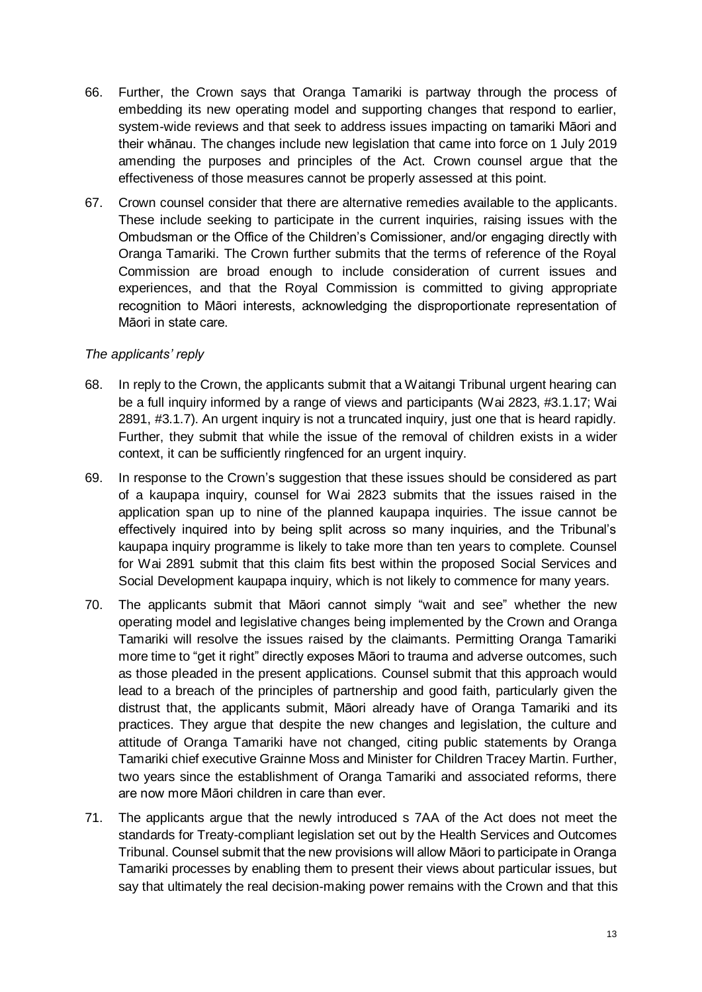- 66. Further, the Crown says that Oranga Tamariki is partway through the process of embedding its new operating model and supporting changes that respond to earlier, system-wide reviews and that seek to address issues impacting on tamariki Māori and their whānau. The changes include new legislation that came into force on 1 July 2019 amending the purposes and principles of the Act. Crown counsel argue that the effectiveness of those measures cannot be properly assessed at this point.
- 67. Crown counsel consider that there are alternative remedies available to the applicants. These include seeking to participate in the current inquiries, raising issues with the Ombudsman or the Office of the Children's Comissioner, and/or engaging directly with Oranga Tamariki. The Crown further submits that the terms of reference of the Royal Commission are broad enough to include consideration of current issues and experiences, and that the Royal Commission is committed to giving appropriate recognition to Māori interests, acknowledging the disproportionate representation of Māori in state care.

## *The applicants' reply*

- 68. In reply to the Crown, the applicants submit that a Waitangi Tribunal urgent hearing can be a full inquiry informed by a range of views and participants (Wai 2823, #3.1.17; Wai 2891, #3.1.7). An urgent inquiry is not a truncated inquiry, just one that is heard rapidly. Further, they submit that while the issue of the removal of children exists in a wider context, it can be sufficiently ringfenced for an urgent inquiry.
- 69. In response to the Crown's suggestion that these issues should be considered as part of a kaupapa inquiry, counsel for Wai 2823 submits that the issues raised in the application span up to nine of the planned kaupapa inquiries. The issue cannot be effectively inquired into by being split across so many inquiries, and the Tribunal's kaupapa inquiry programme is likely to take more than ten years to complete. Counsel for Wai 2891 submit that this claim fits best within the proposed Social Services and Social Development kaupapa inquiry, which is not likely to commence for many years.
- 70. The applicants submit that Māori cannot simply "wait and see" whether the new operating model and legislative changes being implemented by the Crown and Oranga Tamariki will resolve the issues raised by the claimants. Permitting Oranga Tamariki more time to "get it right" directly exposes Māori to trauma and adverse outcomes, such as those pleaded in the present applications. Counsel submit that this approach would lead to a breach of the principles of partnership and good faith, particularly given the distrust that, the applicants submit, Māori already have of Oranga Tamariki and its practices. They argue that despite the new changes and legislation, the culture and attitude of Oranga Tamariki have not changed, citing public statements by Oranga Tamariki chief executive Grainne Moss and Minister for Children Tracey Martin. Further, two years since the establishment of Oranga Tamariki and associated reforms, there are now more Māori children in care than ever.
- 71. The applicants argue that the newly introduced s 7AA of the Act does not meet the standards for Treaty-compliant legislation set out by the Health Services and Outcomes Tribunal. Counsel submit that the new provisions will allow Māori to participate in Oranga Tamariki processes by enabling them to present their views about particular issues, but say that ultimately the real decision-making power remains with the Crown and that this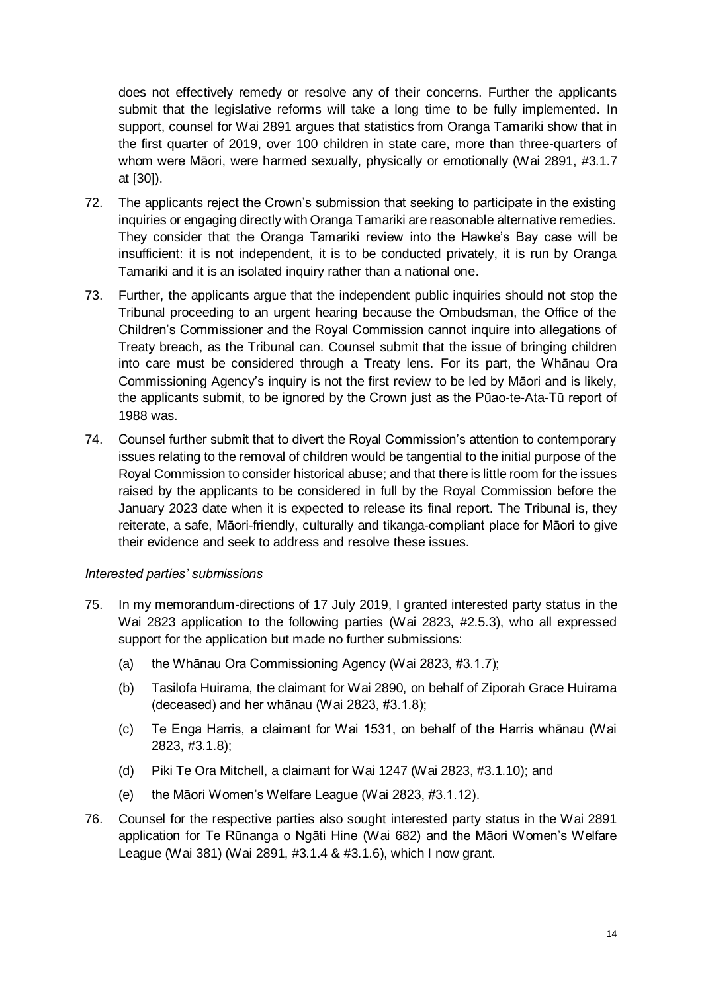does not effectively remedy or resolve any of their concerns. Further the applicants submit that the legislative reforms will take a long time to be fully implemented. In support, counsel for Wai 2891 argues that statistics from Oranga Tamariki show that in the first quarter of 2019, over 100 children in state care, more than three-quarters of whom were Māori, were harmed sexually, physically or emotionally (Wai 2891, #3.1.7 at [30]).

- 72. The applicants reject the Crown's submission that seeking to participate in the existing inquiries or engaging directly with Oranga Tamariki are reasonable alternative remedies. They consider that the Oranga Tamariki review into the Hawke's Bay case will be insufficient: it is not independent, it is to be conducted privately, it is run by Oranga Tamariki and it is an isolated inquiry rather than a national one.
- 73. Further, the applicants argue that the independent public inquiries should not stop the Tribunal proceeding to an urgent hearing because the Ombudsman, the Office of the Children's Commissioner and the Royal Commission cannot inquire into allegations of Treaty breach, as the Tribunal can. Counsel submit that the issue of bringing children into care must be considered through a Treaty lens. For its part, the Whānau Ora Commissioning Agency's inquiry is not the first review to be led by Māori and is likely, the applicants submit, to be ignored by the Crown just as the Pūao-te-Ata-Tū report of 1988 was.
- 74. Counsel further submit that to divert the Royal Commission's attention to contemporary issues relating to the removal of children would be tangential to the initial purpose of the Royal Commission to consider historical abuse; and that there is little room for the issues raised by the applicants to be considered in full by the Royal Commission before the January 2023 date when it is expected to release its final report. The Tribunal is, they reiterate, a safe, Māori-friendly, culturally and tikanga-compliant place for Māori to give their evidence and seek to address and resolve these issues.

## *Interested parties' submissions*

- 75. In my memorandum-directions of 17 July 2019, I granted interested party status in the Wai 2823 application to the following parties (Wai 2823, #2.5.3), who all expressed support for the application but made no further submissions:
	- (a) the Whānau Ora Commissioning Agency (Wai 2823, #3.1.7);
	- (b) Tasilofa Huirama, the claimant for Wai 2890, on behalf of Ziporah Grace Huirama (deceased) and her whānau (Wai 2823, #3.1.8);
	- (c) Te Enga Harris, a claimant for Wai 1531, on behalf of the Harris whānau (Wai 2823, #3.1.8);
	- (d) Piki Te Ora Mitchell, a claimant for Wai 1247 (Wai 2823, #3.1.10); and
	- (e) the Māori Women's Welfare League (Wai 2823, #3.1.12).
- 76. Counsel for the respective parties also sought interested party status in the Wai 2891 application for Te Rūnanga o Ngāti Hine (Wai 682) and the Māori Women's Welfare League (Wai 381) (Wai 2891, #3.1.4 & #3.1.6), which I now grant.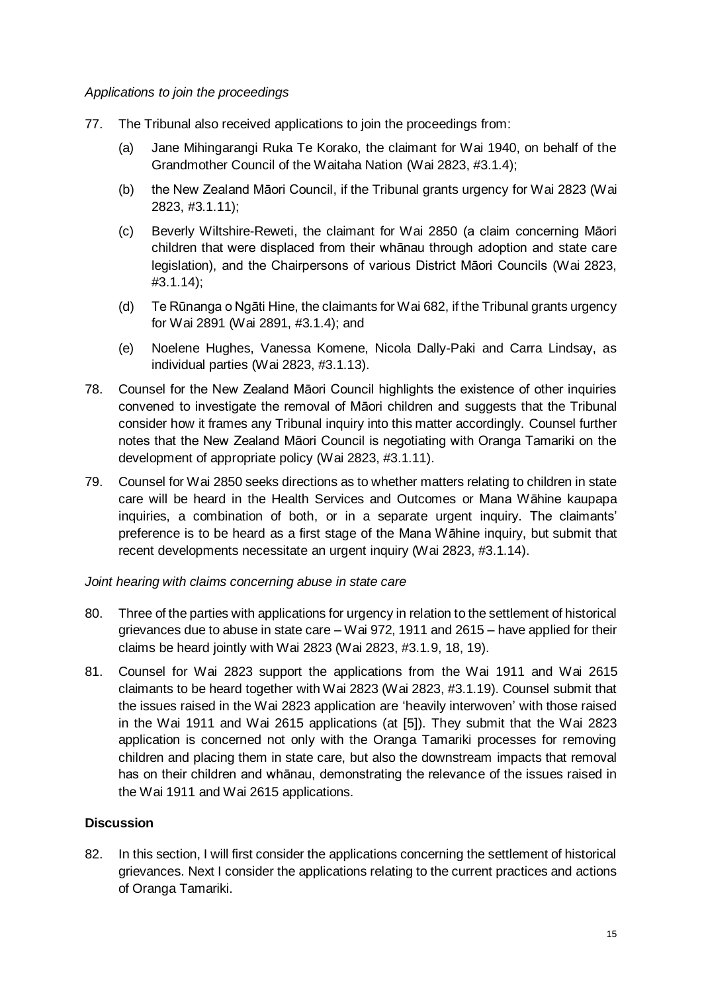*Applications to join the proceedings*

- 77. The Tribunal also received applications to join the proceedings from:
	- (a) Jane Mihingarangi Ruka Te Korako, the claimant for Wai 1940, on behalf of the Grandmother Council of the Waitaha Nation (Wai 2823, #3.1.4);
	- (b) the New Zealand Māori Council, if the Tribunal grants urgency for Wai 2823 (Wai 2823, #3.1.11);
	- (c) Beverly Wiltshire-Reweti, the claimant for Wai 2850 (a claim concerning Māori children that were displaced from their whānau through adoption and state care legislation), and the Chairpersons of various District Māori Councils (Wai 2823, #3.1.14);
	- (d) Te Rūnanga o Ngāti Hine, the claimants for Wai 682, if the Tribunal grants urgency for Wai 2891 (Wai 2891, #3.1.4); and
	- (e) Noelene Hughes, Vanessa Komene, Nicola Dally-Paki and Carra Lindsay, as individual parties (Wai 2823, #3.1.13).
- 78. Counsel for the New Zealand Māori Council highlights the existence of other inquiries convened to investigate the removal of Māori children and suggests that the Tribunal consider how it frames any Tribunal inquiry into this matter accordingly. Counsel further notes that the New Zealand Māori Council is negotiating with Oranga Tamariki on the development of appropriate policy (Wai 2823, #3.1.11).
- 79. Counsel for Wai 2850 seeks directions as to whether matters relating to children in state care will be heard in the Health Services and Outcomes or Mana Wāhine kaupapa inquiries, a combination of both, or in a separate urgent inquiry. The claimants' preference is to be heard as a first stage of the Mana Wāhine inquiry, but submit that recent developments necessitate an urgent inquiry (Wai 2823, #3.1.14).

## *Joint hearing with claims concerning abuse in state care*

- 80. Three of the parties with applications for urgency in relation to the settlement of historical grievances due to abuse in state care – Wai 972, 1911 and 2615 – have applied for their claims be heard jointly with Wai 2823 (Wai 2823, #3.1.9, 18, 19).
- 81. Counsel for Wai 2823 support the applications from the Wai 1911 and Wai 2615 claimants to be heard together with Wai 2823 (Wai 2823, #3.1.19). Counsel submit that the issues raised in the Wai 2823 application are 'heavily interwoven' with those raised in the Wai 1911 and Wai 2615 applications (at [5]). They submit that the Wai 2823 application is concerned not only with the Oranga Tamariki processes for removing children and placing them in state care, but also the downstream impacts that removal has on their children and whānau, demonstrating the relevance of the issues raised in the Wai 1911 and Wai 2615 applications.

## **Discussion**

82. In this section, I will first consider the applications concerning the settlement of historical grievances. Next I consider the applications relating to the current practices and actions of Oranga Tamariki.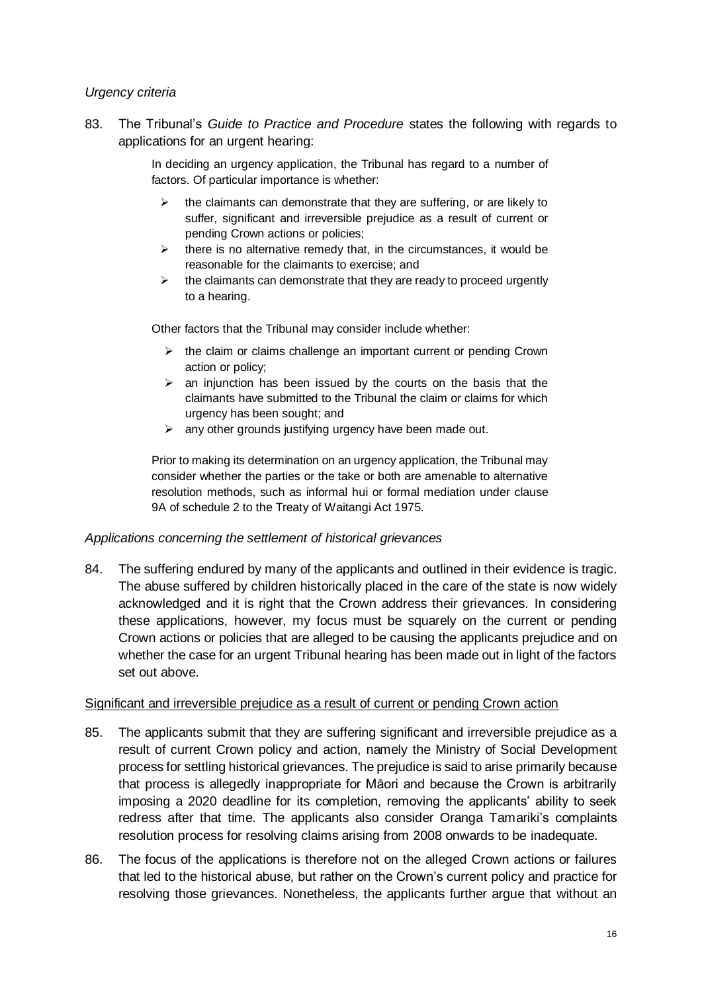#### *Urgency criteria*

83. The Tribunal's *Guide to Practice and Procedure* states the following with regards to applications for an urgent hearing:

> In deciding an urgency application, the Tribunal has regard to a number of factors. Of particular importance is whether:

- $\triangleright$  the claimants can demonstrate that they are suffering, or are likely to suffer, significant and irreversible prejudice as a result of current or pending Crown actions or policies;
- $\triangleright$  there is no alternative remedy that, in the circumstances, it would be reasonable for the claimants to exercise; and
- $\triangleright$  the claimants can demonstrate that they are ready to proceed urgently to a hearing.

Other factors that the Tribunal may consider include whether:

- ➢ the claim or claims challenge an important current or pending Crown action or policy;
- $\triangleright$  an injunction has been issued by the courts on the basis that the claimants have submitted to the Tribunal the claim or claims for which urgency has been sought; and
- ➢ any other grounds justifying urgency have been made out.

Prior to making its determination on an urgency application, the Tribunal may consider whether the parties or the take or both are amenable to alternative resolution methods, such as informal hui or formal mediation under clause 9A of schedule 2 to the Treaty of Waitangi Act 1975.

## *Applications concerning the settlement of historical grievances*

84. The suffering endured by many of the applicants and outlined in their evidence is tragic. The abuse suffered by children historically placed in the care of the state is now widely acknowledged and it is right that the Crown address their grievances. In considering these applications, however, my focus must be squarely on the current or pending Crown actions or policies that are alleged to be causing the applicants prejudice and on whether the case for an urgent Tribunal hearing has been made out in light of the factors set out above.

#### Significant and irreversible prejudice as a result of current or pending Crown action

- 85. The applicants submit that they are suffering significant and irreversible prejudice as a result of current Crown policy and action, namely the Ministry of Social Development process for settling historical grievances. The prejudice is said to arise primarily because that process is allegedly inappropriate for Māori and because the Crown is arbitrarily imposing a 2020 deadline for its completion, removing the applicants' ability to seek redress after that time. The applicants also consider Oranga Tamariki's complaints resolution process for resolving claims arising from 2008 onwards to be inadequate.
- 86. The focus of the applications is therefore not on the alleged Crown actions or failures that led to the historical abuse, but rather on the Crown's current policy and practice for resolving those grievances. Nonetheless, the applicants further argue that without an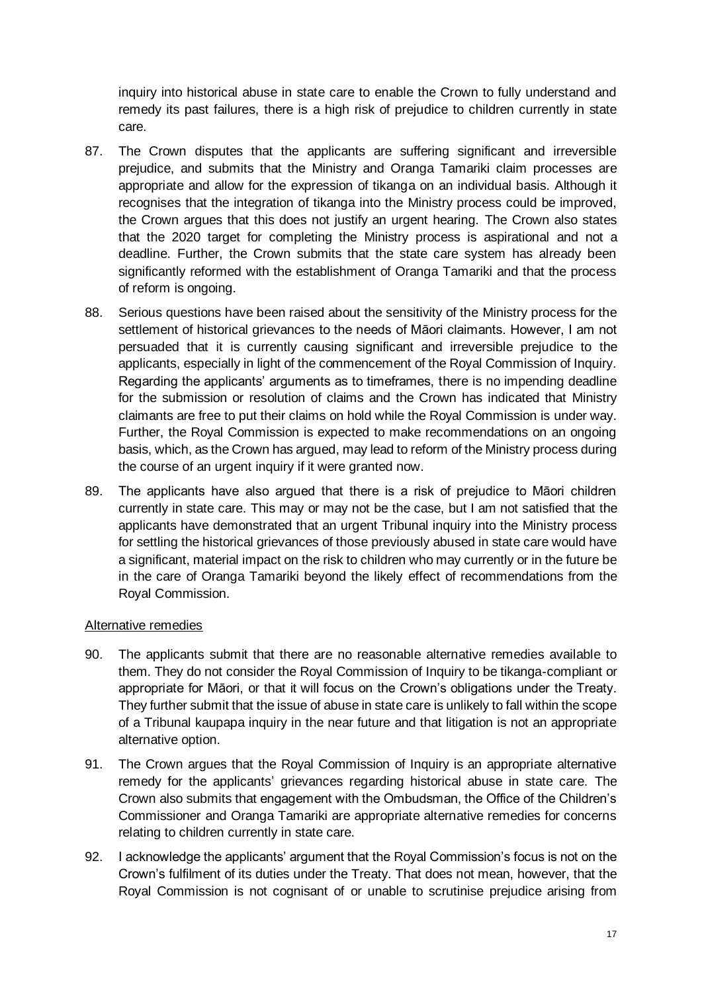inquiry into historical abuse in state care to enable the Crown to fully understand and remedy its past failures, there is a high risk of prejudice to children currently in state care.

- 87. The Crown disputes that the applicants are suffering significant and irreversible prejudice, and submits that the Ministry and Oranga Tamariki claim processes are appropriate and allow for the expression of tikanga on an individual basis. Although it recognises that the integration of tikanga into the Ministry process could be improved, the Crown argues that this does not justify an urgent hearing. The Crown also states that the 2020 target for completing the Ministry process is aspirational and not a deadline. Further, the Crown submits that the state care system has already been significantly reformed with the establishment of Oranga Tamariki and that the process of reform is ongoing.
- 88. Serious questions have been raised about the sensitivity of the Ministry process for the settlement of historical grievances to the needs of Māori claimants. However, I am not persuaded that it is currently causing significant and irreversible prejudice to the applicants, especially in light of the commencement of the Royal Commission of Inquiry. Regarding the applicants' arguments as to timeframes, there is no impending deadline for the submission or resolution of claims and the Crown has indicated that Ministry claimants are free to put their claims on hold while the Royal Commission is under way. Further, the Royal Commission is expected to make recommendations on an ongoing basis, which, as the Crown has argued, may lead to reform of the Ministry process during the course of an urgent inquiry if it were granted now.
- 89. The applicants have also argued that there is a risk of prejudice to Māori children currently in state care. This may or may not be the case, but I am not satisfied that the applicants have demonstrated that an urgent Tribunal inquiry into the Ministry process for settling the historical grievances of those previously abused in state care would have a significant, material impact on the risk to children who may currently or in the future be in the care of Oranga Tamariki beyond the likely effect of recommendations from the Royal Commission.

## Alternative remedies

- 90. The applicants submit that there are no reasonable alternative remedies available to them. They do not consider the Royal Commission of Inquiry to be tikanga-compliant or appropriate for Māori, or that it will focus on the Crown's obligations under the Treaty. They further submit that the issue of abuse in state care is unlikely to fall within the scope of a Tribunal kaupapa inquiry in the near future and that litigation is not an appropriate alternative option.
- 91. The Crown argues that the Royal Commission of Inquiry is an appropriate alternative remedy for the applicants' grievances regarding historical abuse in state care. The Crown also submits that engagement with the Ombudsman, the Office of the Children's Commissioner and Oranga Tamariki are appropriate alternative remedies for concerns relating to children currently in state care.
- 92. I acknowledge the applicants' argument that the Royal Commission's focus is not on the Crown's fulfilment of its duties under the Treaty. That does not mean, however, that the Royal Commission is not cognisant of or unable to scrutinise prejudice arising from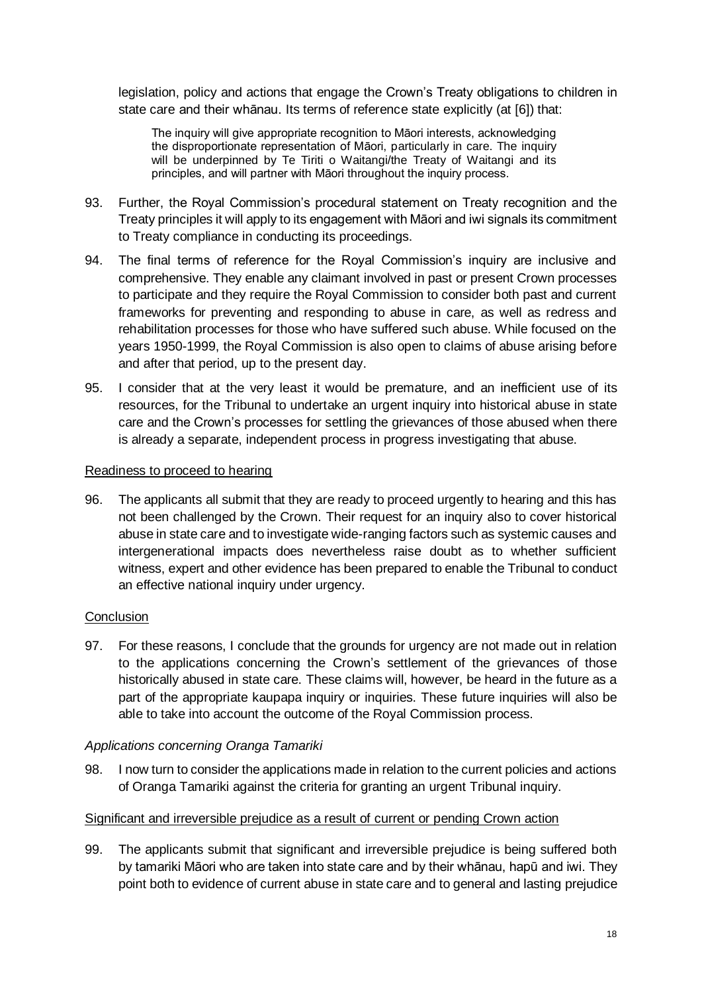legislation, policy and actions that engage the Crown's Treaty obligations to children in state care and their whānau. Its terms of reference state explicitly (at [6]) that:

The inquiry will give appropriate recognition to Māori interests, acknowledging the disproportionate representation of Māori, particularly in care. The inquiry will be underpinned by Te Tiriti o Waitangi/the Treaty of Waitangi and its principles, and will partner with Māori throughout the inquiry process.

- 93. Further, the Royal Commission's procedural statement on Treaty recognition and the Treaty principles it will apply to its engagement with Māori and iwi signals its commitment to Treaty compliance in conducting its proceedings.
- 94. The final terms of reference for the Royal Commission's inquiry are inclusive and comprehensive. They enable any claimant involved in past or present Crown processes to participate and they require the Royal Commission to consider both past and current frameworks for preventing and responding to abuse in care, as well as redress and rehabilitation processes for those who have suffered such abuse. While focused on the years 1950-1999, the Royal Commission is also open to claims of abuse arising before and after that period, up to the present day.
- 95. I consider that at the very least it would be premature, and an inefficient use of its resources, for the Tribunal to undertake an urgent inquiry into historical abuse in state care and the Crown's processes for settling the grievances of those abused when there is already a separate, independent process in progress investigating that abuse.

## Readiness to proceed to hearing

96. The applicants all submit that they are ready to proceed urgently to hearing and this has not been challenged by the Crown. Their request for an inquiry also to cover historical abuse in state care and to investigate wide-ranging factors such as systemic causes and intergenerational impacts does nevertheless raise doubt as to whether sufficient witness, expert and other evidence has been prepared to enable the Tribunal to conduct an effective national inquiry under urgency.

## **Conclusion**

97. For these reasons, I conclude that the grounds for urgency are not made out in relation to the applications concerning the Crown's settlement of the grievances of those historically abused in state care. These claims will, however, be heard in the future as a part of the appropriate kaupapa inquiry or inquiries. These future inquiries will also be able to take into account the outcome of the Royal Commission process.

## *Applications concerning Oranga Tamariki*

98. I now turn to consider the applications made in relation to the current policies and actions of Oranga Tamariki against the criteria for granting an urgent Tribunal inquiry.

## Significant and irreversible prejudice as a result of current or pending Crown action

99. The applicants submit that significant and irreversible prejudice is being suffered both by tamariki Māori who are taken into state care and by their whānau, hapū and iwi. They point both to evidence of current abuse in state care and to general and lasting prejudice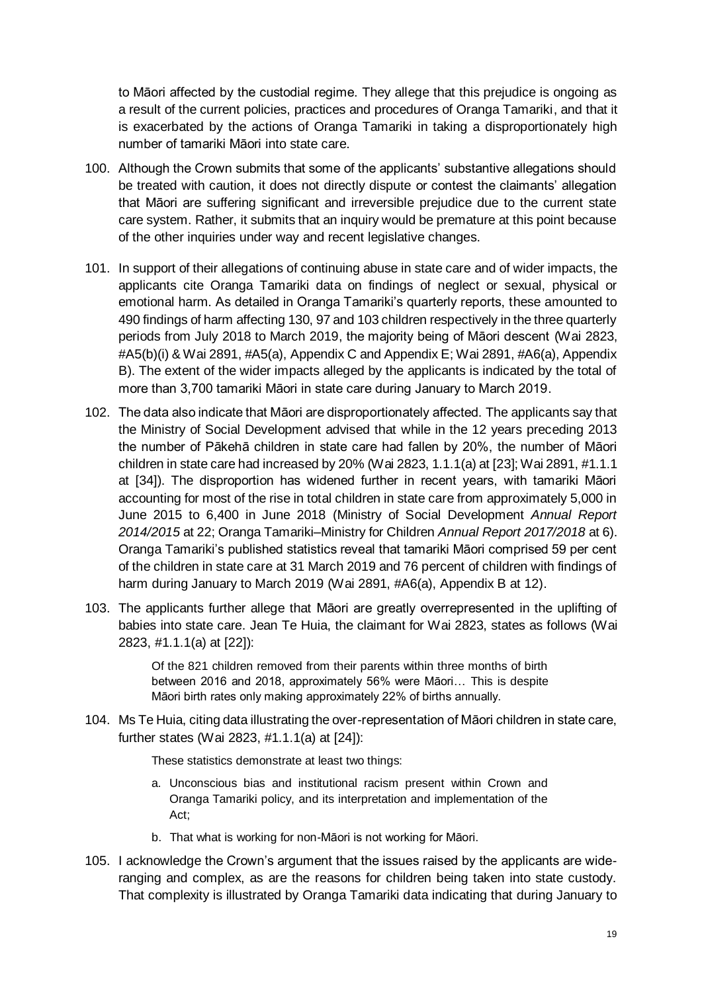to Māori affected by the custodial regime. They allege that this prejudice is ongoing as a result of the current policies, practices and procedures of Oranga Tamariki, and that it is exacerbated by the actions of Oranga Tamariki in taking a disproportionately high number of tamariki Māori into state care.

- 100. Although the Crown submits that some of the applicants' substantive allegations should be treated with caution, it does not directly dispute or contest the claimants' allegation that Māori are suffering significant and irreversible prejudice due to the current state care system. Rather, it submits that an inquiry would be premature at this point because of the other inquiries under way and recent legislative changes.
- 101. In support of their allegations of continuing abuse in state care and of wider impacts, the applicants cite Oranga Tamariki data on findings of neglect or sexual, physical or emotional harm. As detailed in Oranga Tamariki's quarterly reports, these amounted to 490 findings of harm affecting 130, 97 and 103 children respectively in the three quarterly periods from July 2018 to March 2019, the majority being of Māori descent (Wai 2823, #A5(b)(i) & Wai 2891, #A5(a), Appendix C and Appendix E; Wai 2891, #A6(a), Appendix B). The extent of the wider impacts alleged by the applicants is indicated by the total of more than 3,700 tamariki Māori in state care during January to March 2019.
- 102. The data also indicate that Māori are disproportionately affected. The applicants say that the Ministry of Social Development advised that while in the 12 years preceding 2013 the number of Pākehā children in state care had fallen by 20%, the number of Māori children in state care had increased by 20% (Wai 2823, 1.1.1(a) at [23]; Wai 2891, #1.1.1 at [34]). The disproportion has widened further in recent years, with tamariki Māori accounting for most of the rise in total children in state care from approximately 5,000 in June 2015 to 6,400 in June 2018 (Ministry of Social Development *Annual Report 2014/2015* at 22; Oranga Tamariki–Ministry for Children *Annual Report 2017/2018* at 6). Oranga Tamariki's published statistics reveal that tamariki Māori comprised 59 per cent of the children in state care at 31 March 2019 and 76 percent of children with findings of harm during January to March 2019 (Wai 2891, #A6(a), Appendix B at 12).
- 103. The applicants further allege that Māori are greatly overrepresented in the uplifting of babies into state care. Jean Te Huia, the claimant for Wai 2823, states as follows (Wai 2823, #1.1.1(a) at [22]):

Of the 821 children removed from their parents within three months of birth between 2016 and 2018, approximately 56% were Māori… This is despite Māori birth rates only making approximately 22% of births annually.

104. Ms Te Huia, citing data illustrating the over-representation of Māori children in state care, further states (Wai 2823, #1.1.1(a) at [24]):

These statistics demonstrate at least two things:

- a. Unconscious bias and institutional racism present within Crown and Oranga Tamariki policy, and its interpretation and implementation of the Act;
- b. That what is working for non-Māori is not working for Māori.
- 105. I acknowledge the Crown's argument that the issues raised by the applicants are wideranging and complex, as are the reasons for children being taken into state custody. That complexity is illustrated by Oranga Tamariki data indicating that during January to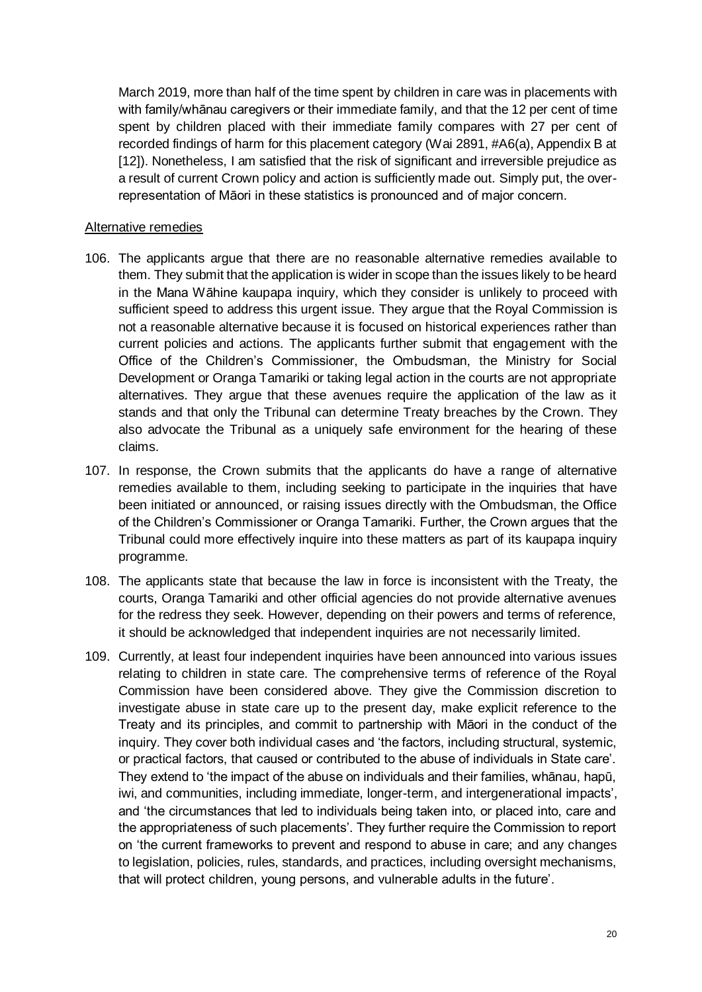March 2019, more than half of the time spent by children in care was in placements with with family/whānau caregivers or their immediate family, and that the 12 per cent of time spent by children placed with their immediate family compares with 27 per cent of recorded findings of harm for this placement category (Wai 2891, #A6(a), Appendix B at [12]). Nonetheless, I am satisfied that the risk of significant and irreversible prejudice as a result of current Crown policy and action is sufficiently made out. Simply put, the overrepresentation of Māori in these statistics is pronounced and of major concern.

#### Alternative remedies

- 106. The applicants argue that there are no reasonable alternative remedies available to them. They submit that the application is wider in scope than the issues likely to be heard in the Mana Wāhine kaupapa inquiry, which they consider is unlikely to proceed with sufficient speed to address this urgent issue. They argue that the Royal Commission is not a reasonable alternative because it is focused on historical experiences rather than current policies and actions. The applicants further submit that engagement with the Office of the Children's Commissioner, the Ombudsman, the Ministry for Social Development or Oranga Tamariki or taking legal action in the courts are not appropriate alternatives. They argue that these avenues require the application of the law as it stands and that only the Tribunal can determine Treaty breaches by the Crown. They also advocate the Tribunal as a uniquely safe environment for the hearing of these claims.
- 107. In response, the Crown submits that the applicants do have a range of alternative remedies available to them, including seeking to participate in the inquiries that have been initiated or announced, or raising issues directly with the Ombudsman, the Office of the Children's Commissioner or Oranga Tamariki. Further, the Crown argues that the Tribunal could more effectively inquire into these matters as part of its kaupapa inquiry programme.
- 108. The applicants state that because the law in force is inconsistent with the Treaty, the courts, Oranga Tamariki and other official agencies do not provide alternative avenues for the redress they seek. However, depending on their powers and terms of reference, it should be acknowledged that independent inquiries are not necessarily limited.
- 109. Currently, at least four independent inquiries have been announced into various issues relating to children in state care. The comprehensive terms of reference of the Royal Commission have been considered above. They give the Commission discretion to investigate abuse in state care up to the present day, make explicit reference to the Treaty and its principles, and commit to partnership with Māori in the conduct of the inquiry. They cover both individual cases and 'the factors, including structural, systemic, or practical factors, that caused or contributed to the abuse of individuals in State care'. They extend to 'the impact of the abuse on individuals and their families, whānau, hapū, iwi, and communities, including immediate, longer-term, and intergenerational impacts', and 'the circumstances that led to individuals being taken into, or placed into, care and the appropriateness of such placements'. They further require the Commission to report on 'the current frameworks to prevent and respond to abuse in care; and any changes to legislation, policies, rules, standards, and practices, including oversight mechanisms, that will protect children, young persons, and vulnerable adults in the future'.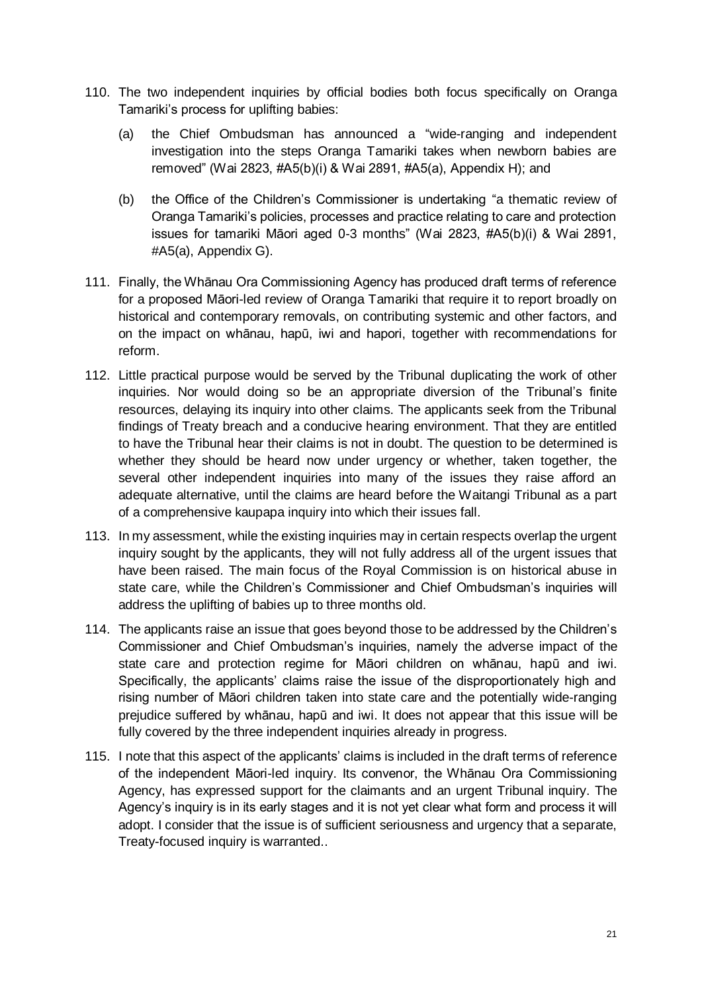- 110. The two independent inquiries by official bodies both focus specifically on Oranga Tamariki's process for uplifting babies:
	- (a) the Chief Ombudsman has announced a "wide-ranging and independent investigation into the steps Oranga Tamariki takes when newborn babies are removed" (Wai 2823, #A5(b)(i) & Wai 2891, #A5(a), Appendix H); and
	- (b) the Office of the Children's Commissioner is undertaking "a thematic review of Oranga Tamariki's policies, processes and practice relating to care and protection issues for tamariki Māori aged 0-3 months" (Wai 2823, #A5(b)(i) & Wai 2891, #A5(a), Appendix G).
- 111. Finally, the Whānau Ora Commissioning Agency has produced draft terms of reference for a proposed Māori-led review of Oranga Tamariki that require it to report broadly on historical and contemporary removals, on contributing systemic and other factors, and on the impact on whānau, hapū, iwi and hapori, together with recommendations for reform.
- 112. Little practical purpose would be served by the Tribunal duplicating the work of other inquiries. Nor would doing so be an appropriate diversion of the Tribunal's finite resources, delaying its inquiry into other claims. The applicants seek from the Tribunal findings of Treaty breach and a conducive hearing environment. That they are entitled to have the Tribunal hear their claims is not in doubt. The question to be determined is whether they should be heard now under urgency or whether, taken together, the several other independent inquiries into many of the issues they raise afford an adequate alternative, until the claims are heard before the Waitangi Tribunal as a part of a comprehensive kaupapa inquiry into which their issues fall.
- 113. In my assessment, while the existing inquiries may in certain respects overlap the urgent inquiry sought by the applicants, they will not fully address all of the urgent issues that have been raised. The main focus of the Royal Commission is on historical abuse in state care, while the Children's Commissioner and Chief Ombudsman's inquiries will address the uplifting of babies up to three months old.
- 114. The applicants raise an issue that goes beyond those to be addressed by the Children's Commissioner and Chief Ombudsman's inquiries, namely the adverse impact of the state care and protection regime for Māori children on whānau, hapū and iwi. Specifically, the applicants' claims raise the issue of the disproportionately high and rising number of Māori children taken into state care and the potentially wide-ranging prejudice suffered by whānau, hapū and iwi. It does not appear that this issue will be fully covered by the three independent inquiries already in progress.
- 115. I note that this aspect of the applicants' claims is included in the draft terms of reference of the independent Māori-led inquiry. Its convenor, the Whānau Ora Commissioning Agency, has expressed support for the claimants and an urgent Tribunal inquiry. The Agency's inquiry is in its early stages and it is not yet clear what form and process it will adopt. I consider that the issue is of sufficient seriousness and urgency that a separate, Treaty-focused inquiry is warranted..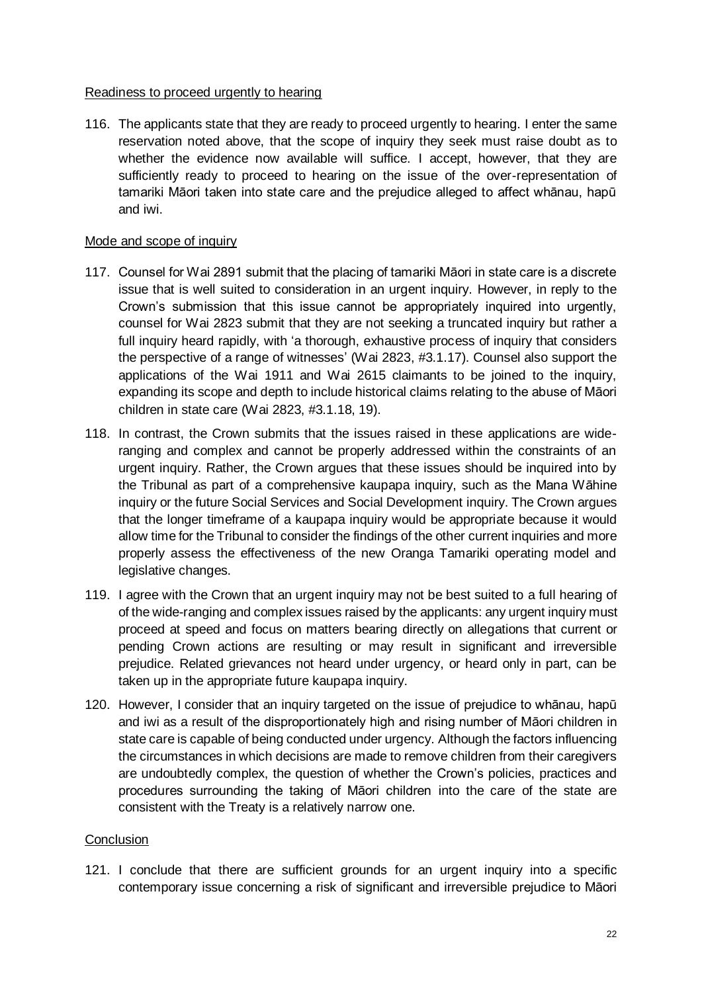## Readiness to proceed urgently to hearing

116. The applicants state that they are ready to proceed urgently to hearing. I enter the same reservation noted above, that the scope of inquiry they seek must raise doubt as to whether the evidence now available will suffice. I accept, however, that they are sufficiently ready to proceed to hearing on the issue of the over-representation of tamariki Māori taken into state care and the prejudice alleged to affect whānau, hapū and iwi.

## Mode and scope of inquiry

- 117. Counsel for Wai 2891 submit that the placing of tamariki Māori in state care is a discrete issue that is well suited to consideration in an urgent inquiry. However, in reply to the Crown's submission that this issue cannot be appropriately inquired into urgently, counsel for Wai 2823 submit that they are not seeking a truncated inquiry but rather a full inquiry heard rapidly, with 'a thorough, exhaustive process of inquiry that considers the perspective of a range of witnesses' (Wai 2823, #3.1.17). Counsel also support the applications of the Wai 1911 and Wai 2615 claimants to be joined to the inquiry, expanding its scope and depth to include historical claims relating to the abuse of Māori children in state care (Wai 2823, #3.1.18, 19).
- 118. In contrast, the Crown submits that the issues raised in these applications are wideranging and complex and cannot be properly addressed within the constraints of an urgent inquiry. Rather, the Crown argues that these issues should be inquired into by the Tribunal as part of a comprehensive kaupapa inquiry, such as the Mana Wāhine inquiry or the future Social Services and Social Development inquiry. The Crown argues that the longer timeframe of a kaupapa inquiry would be appropriate because it would allow time for the Tribunal to consider the findings of the other current inquiries and more properly assess the effectiveness of the new Oranga Tamariki operating model and legislative changes.
- 119. I agree with the Crown that an urgent inquiry may not be best suited to a full hearing of of the wide-ranging and complex issues raised by the applicants: any urgent inquiry must proceed at speed and focus on matters bearing directly on allegations that current or pending Crown actions are resulting or may result in significant and irreversible prejudice. Related grievances not heard under urgency, or heard only in part, can be taken up in the appropriate future kaupapa inquiry.
- 120. However, I consider that an inquiry targeted on the issue of prejudice to whānau, hapū and iwi as a result of the disproportionately high and rising number of Māori children in state care is capable of being conducted under urgency. Although the factors influencing the circumstances in which decisions are made to remove children from their caregivers are undoubtedly complex, the question of whether the Crown's policies, practices and procedures surrounding the taking of Māori children into the care of the state are consistent with the Treaty is a relatively narrow one.

## **Conclusion**

121. I conclude that there are sufficient grounds for an urgent inquiry into a specific contemporary issue concerning a risk of significant and irreversible prejudice to Māori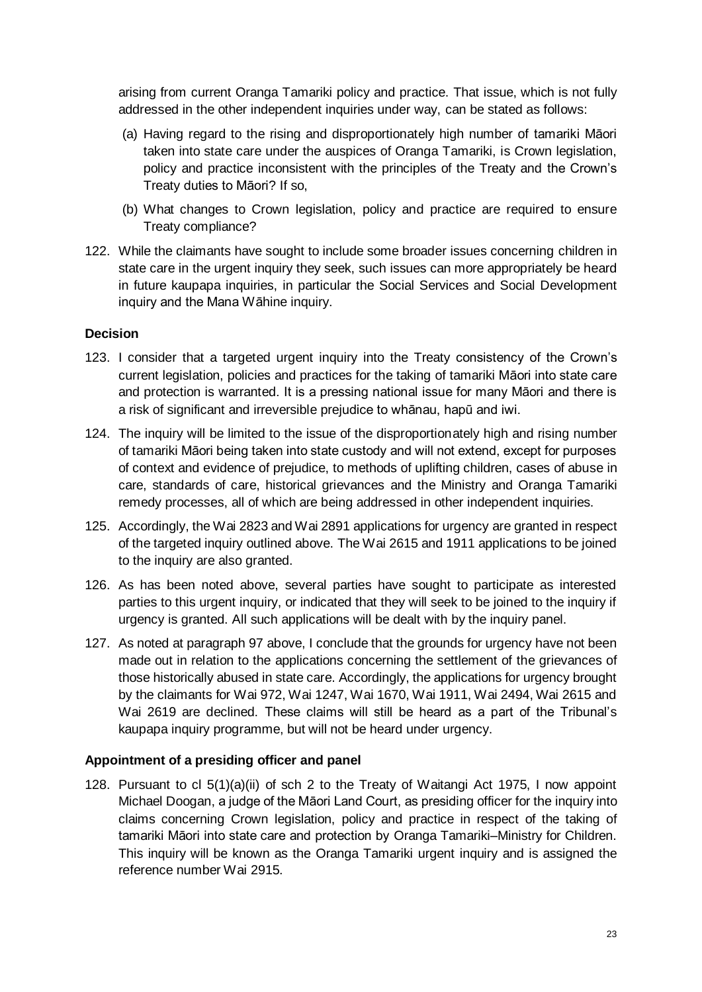arising from current Oranga Tamariki policy and practice. That issue, which is not fully addressed in the other independent inquiries under way, can be stated as follows:

- (a) Having regard to the rising and disproportionately high number of tamariki Māori taken into state care under the auspices of Oranga Tamariki, is Crown legislation, policy and practice inconsistent with the principles of the Treaty and the Crown's Treaty duties to Māori? If so,
- (b) What changes to Crown legislation, policy and practice are required to ensure Treaty compliance?
- 122. While the claimants have sought to include some broader issues concerning children in state care in the urgent inquiry they seek, such issues can more appropriately be heard in future kaupapa inquiries, in particular the Social Services and Social Development inquiry and the Mana Wāhine inquiry.

## **Decision**

- 123. I consider that a targeted urgent inquiry into the Treaty consistency of the Crown's current legislation, policies and practices for the taking of tamariki Māori into state care and protection is warranted. It is a pressing national issue for many Māori and there is a risk of significant and irreversible prejudice to whānau, hapū and iwi.
- 124. The inquiry will be limited to the issue of the disproportionately high and rising number of tamariki Māori being taken into state custody and will not extend, except for purposes of context and evidence of prejudice, to methods of uplifting children, cases of abuse in care, standards of care, historical grievances and the Ministry and Oranga Tamariki remedy processes, all of which are being addressed in other independent inquiries.
- 125. Accordingly, the Wai 2823 and Wai 2891 applications for urgency are granted in respect of the targeted inquiry outlined above. The Wai 2615 and 1911 applications to be joined to the inquiry are also granted.
- 126. As has been noted above, several parties have sought to participate as interested parties to this urgent inquiry, or indicated that they will seek to be joined to the inquiry if urgency is granted. All such applications will be dealt with by the inquiry panel.
- 127. As noted at paragraph 97 above, I conclude that the grounds for urgency have not been made out in relation to the applications concerning the settlement of the grievances of those historically abused in state care. Accordingly, the applications for urgency brought by the claimants for Wai 972, Wai 1247, Wai 1670, Wai 1911, Wai 2494, Wai 2615 and Wai 2619 are declined. These claims will still be heard as a part of the Tribunal's kaupapa inquiry programme, but will not be heard under urgency.

## **Appointment of a presiding officer and panel**

128. Pursuant to cl 5(1)(a)(ii) of sch 2 to the Treaty of Waitangi Act 1975, I now appoint Michael Doogan, a judge of the Māori Land Court, as presiding officer for the inquiry into claims concerning Crown legislation, policy and practice in respect of the taking of tamariki Māori into state care and protection by Oranga Tamariki–Ministry for Children. This inquiry will be known as the Oranga Tamariki urgent inquiry and is assigned the reference number Wai 2915.